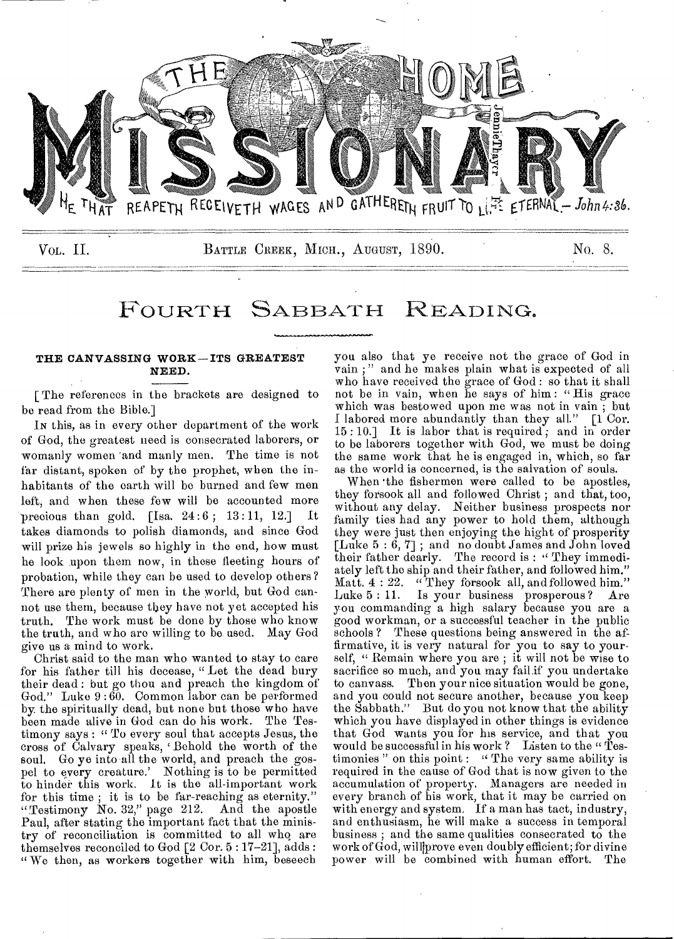

## FOURTH SABBATH READING.

#### THE CANVASSING WORK—ITS GREATEST NEED.

[ The references in the brackets are designed to be read from the Bible.]

IN this, as in every other department of the work of God, the greatest need is consecrated laborers, or womanly women 'and manly men. The time is not far distant, spoken of by the prophet, when the inhabitants of the earth will be burned and few men left, and when these few will be accounted more precious than gold.  $\lceil \text{Isa. } 24:6; 13:11, 12. \rceil$  It takes diamonds to polish diamonds, and since God will prize his jewels so highly in the end, how must he look upon them now, in these fleeting hours of probation, while they can be used to develop others? There are plenty of men in the world, but God cannot use them, because they have not yet accepted his truth. The work must be done by those who know the truth, and who aro willing to be used. May God give us a mind to work.

Christ said to the man who wanted to stay to care for his father till his decease, " Let the dead bury their dead : but go thou and preach the kingdom of God." Luke 9 :60. Common labor can be performed by. the spiritually dead, but none but those who have been made alive in God can do his work. The Testimony says : " To every soul that accepts Jesus, the cross of Calvary speaks, 'Behold the worth of the soul. Go ye into all the world, and preach the gospel to every creature.' Nothing is to be permitted to hinder this work. It is the all-important work for this time ; it is to be far-reaching as eternity." "Testimony No. 32," page 212. And the apostle Paul, after stating the important fact that the ministry of reconciliation is committed to all who are themselves reconciled to God [2 Cor. 5 : 17-21], adds : " We then, as workers together with him, beseech

you also that ye receive not the grace of God in vain ; " and he makes plain what is expected of all who have received the grace of God : so that it shall not be in vain, when he says of him: "His grace which was bestowed upon me was not in vain ; but I labored more abundantly than they all." [1 Cor.  $15:10.$  It is labor that is required, and in order to be laborers together with God, we must be doing the same work that he is engaged in, which, so far as the world is concerned, is the salvation of souls.

When 'the fishermen were called to be apostles, they forsook all and followed Christ ; and that, too, without any delay. Neither business prospects nor family ties had any power to hold them, although they were just then enjoying the hight of prosperity [Luke 5 : 6, 7] ; and no doubt James and John loved their father dearly. The record is : " They immediately left the ship and their father, and followed him." Matt. 4 : 22. " They forsook all, and followed him." Luke 5:11. Is your business prosperous? Are you commanding a high salary because you are a good workman, or a successful teacher in the public schools ? These questions being answered in the affirmative, it is very natural for you to say to yourself, " Remain where you are ; it will not be wise to sacrifice so much, and you may fail if you undertake to canvass. Then your nice situation would be gone, and you could not secure another, because you keep the Sabbath." But do you not know that the ability which you have displayed in other things is evidence that God wants you for his service, and that you would be successful in his work? Listen to the "Testimonies " on this point : " The very same ability is required in the cause of God that is now given to the accumulation of property. Managers are needed in every branch of his work, that it may be carried on with energy and system, If a man has tact, industry, and enthusiasm, he will make a success in temporal business ; and the same qualities consecrated to the work of God, willprove even doubly efficient; for divine power will be combined with human effort. The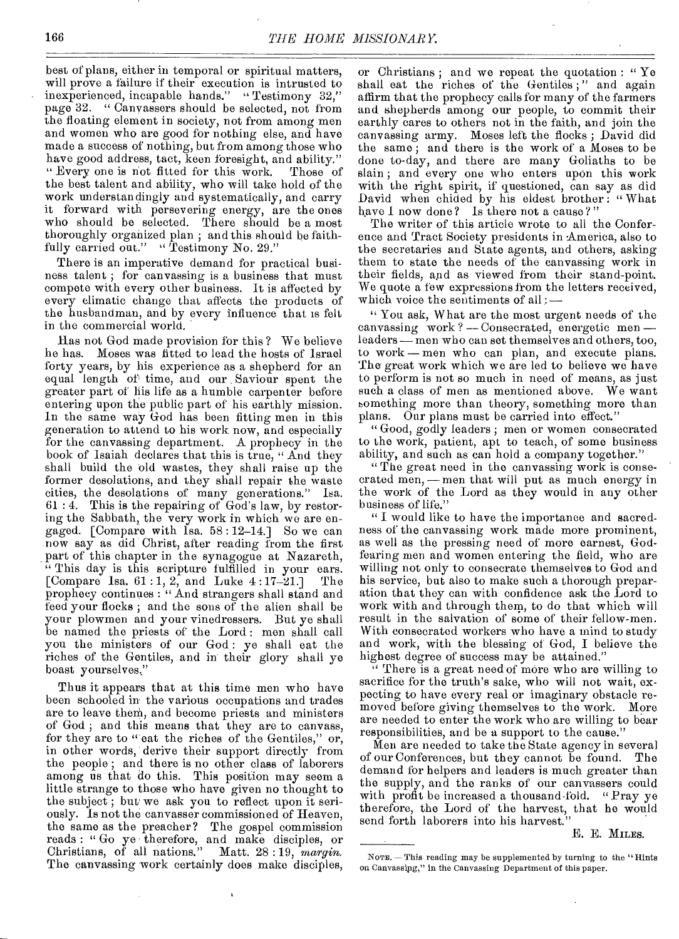best of plans, either in temporal or spiritual matters, will prove a failure if their execution is intrusted to inexperienced, incapable hands." " Testimony 32," page 32. " Canvassers should be selected, not from the floating element in society, not from among men and women who are good for nothing else, and have made a success of nothing, but from among those who have good address, tact, keen foresight, and ability." " Every one is not fitted for this work. Those of the best talent and ability, who will take hold of the work understandingly and systematically, and carry it forward with persevering energy, are the ones who should be selected. There should be a most thoroughly organized plan ; and this should be faithfully carried out." "Testimony No. 29."

There is an imperative demand for practical business talent ; for canvassing is a business that must compete with every other business. It is affected by every climatic change that affects the products of the husbandman, and by every influence that is felt in the commercial world.

Has not God made provision for this ? We believe he has. Moses was fitted to lead the hosts of Israel forty years, by his experience as a shepherd for an equal length of time, and our Saviour spent the greater part of his life as a humble carpenter before entering upon the public part of his earthly mission. In the same way God has been fitting men in this generation to attend to his work now, and especially for the canvassing department. A prophecy in the book of Isaiah declares that this is true, " And they shall build the old wastes, they shall raise up the former desolations, and they shall repair the waste cities, the desolations of many generations." Isa. 61 : 4. This is the repairing of God's law, by restoring the Sabbath, the very work in which we are engaged. [Compare with lsa. 58 : 12-14.] So we can now say as did Christ, after reading from the first part of this chapter in the synagogue at Nazareth, "This day is this scripture fulfilled in your ears. [Compare 1sa.  $61:1, 2,$  and Luke  $4:17-21.$ ] The prophecy continues : "And strangers shall stand and feed your flocks ; and the sons of the alien shall be your plowmen and your vinedressers. But ye shall be named the priests of the Lord : men shall call you the ministers of our God: ye shall eat the riches of the Gentiles, and in their glory shall ye boast yourselves:"

Thus it appears that at this time men who have been schooled in the various occupations and trades are to leave then', and become priests and ministers of God ; and this means that they are to canvass, for they are to "'eat the riches of the Gentiles," or, in other words, derive their support directly from the people ; and there is no other class of laborers among us that do this. This position may seem a little strange to those who have given no thought to the subject ; but we ask you to reflect upon it seriously. Is not the canvasser commissioned of Heaven, the same as the preacher? The gospel commission reads : " Go ye therefore, and make disciples, or Christians, of all nations." Matt. 28 : 19, *margin.*  The canvassing work certainly does make disciples,

or Christians ; and we repeat the quotation : " Ye shall eat the riches of the Gentiles;" and again affirm that the prophecy calls for many of the farmers and shepherds among our people, to commit their earthly cares to others not in the faith, and join the canvassing army. Moses left the flocks; David did the same ; and there is the work of a Moses to be done to-day, and there are many Goliaths to be slain ; and every one who enters upon this work with the right spirit, if questioned, can say as did David when chided by his eldest brother : " What have I now done? Is there not a cause ? "

The writer of this article wrote to all the Conference and Tract Society presidents in America, also to the secretaries and State agents, and others, asking them to state the needs of the canvassing work in their fields, and as viewed from their stand-point. We quote a few expressions from the letters received, which voice the sentiments of all :-

" You ask, What are the most urgent needs of the canvassing work ? — Consecrated, energetic men leaders — men who can set themselves and others, too, to work — men who can plan, and execute plans. The great work which we are led to believe we have to perform is not so much in need of moans, as just such a class of men as mentioned above. We want something more than theory, something more than plans. Our plans must be carried into effect."

" Good, godly leaders ; men or women consecrated to the work, patient, apt to teach, of some business ability, and such as can hold a company together."

" The great need in the canvassing work is consecrated men, -- men that will put as much energy in the work of the Lord as they would in any other business of life."

" I would like to have the importance and sacredness of the canvassing work made more prominent, as well as the pressing need of more earnest, Godfearing men and women entering the field, who are willing not only to consecrate themselves to God and his service, but also to make such a thorough preparation that they can with confidence ask the Lord to work with and through them, to do that which will result in the salvation of some of their fellow-men. With consecrated workers who have a mind to study and work, with the blessing of God, I believe the highest degree of success may be attained."

" There is a great need of more who are willing to sacrifice for the truth's sake, who will not wait, expecting to have every real or imaginary obstacle removed before giving themselves to the work. More are needed to enter the work who are willing to bear responsibilities, and be a support to the cause."

Men are needed to take the State agency in several of our Conferences, but they cannot be found. The demand for helpers and leaders is much greater than the supply, and the ranks of our canvassers could with profit be increased a thousand-fold. "Pray ye therefore, the Lord of the harvest, that he would send forth laborers into his harvest."

E. E. MILES.

NOTE. — This reading may be supplemented by turning to the "Hints on Canvassipg," in the Canvassing Department of this paper.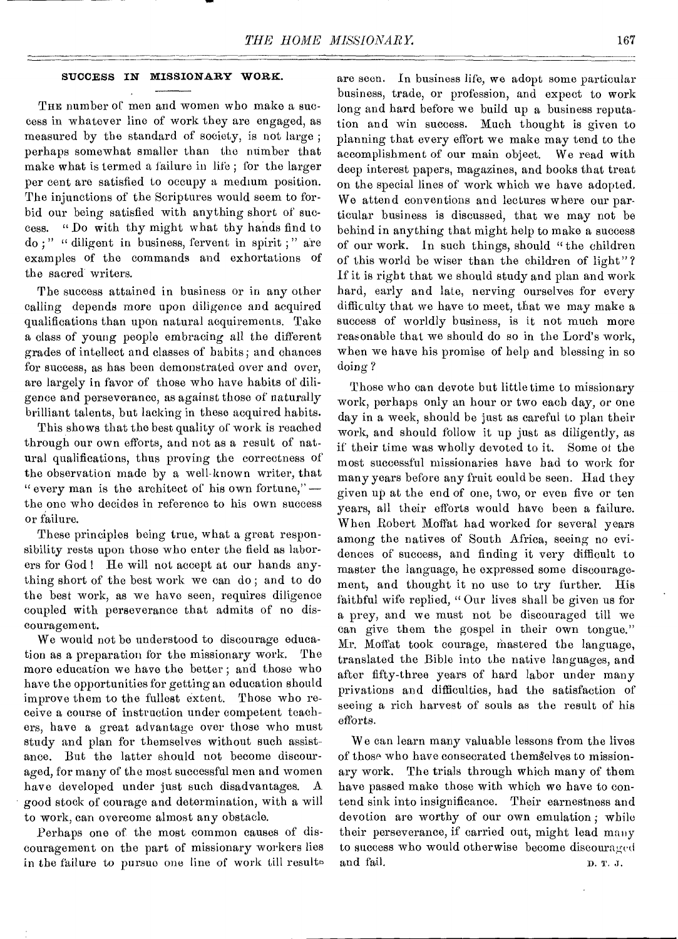#### **SUCCESS IN MISSIONARY WORK.**

THE number of men and women who make a success in whatever line of work they are engaged, as measured by the standard of society, is not large ; perhaps somewhat smaller than the number that make what is termed a failure in life ; for the larger per cent are satisfied to occupy a medium position. The injunctions of the Scriptures would seem to forbid our being satisfied with anything short of success. " Do with thy might what thy hands find to do ; " " diligent in business, fervent in spirit ; " are examples of the commands and exhortations of the sacred writers.

The success attained in business or in any other calling depends more upon diligence and acquired qualifications than upon natural acquirements. Take a class of young people embracing all the different grades of intellect and classes of habits; and chances for success, as has been demonstrated over and over, are largely in favor of those who have habits of diligence and perseverance, as against those of naturally brilliant talents, but lacking in these acquired habits.

This shows that the best quality of work is reached through our own efforts, and not as a result of natural qualifications, thus proving the correctness of the observation made by a well-known writer, that " every man is the architect of his own fortune,"  $$ the one who decides in reference to his own success or failure.

These principles being true, what a great responsibility rests upon those who enter the field as laborers for God ! He will not accept at our hands anything short of the best work we can do ; and to do the best work, as we have seen, requires diligence coupled with perseverance that admits of no discouragement.

We would not be understood to discourage education as a preparation for the missionary work. The more education we have the better ; and those who have the opportunities for getting an education should improve them to the fullest extent. Those who receive a course of instruction under competent teachers, have a great advantage over those who must study and plan for themselves without such assistance. But the latter should not become discouraged, for many of the most successful men and women have developed under just such disadvantages. A good stock of courage and determination, with a will to work, can overcome almost any obstacle.

Perhaps one of the most common causes of discouragement on the part of missionary workers lies in the failure to pursue one line of work till results are seen. In business life, we adopt some particular business, trade, or profession, and expect to work long and hard before we build up a business reputation and win success. Much thought is given to planning that every effort we make may tend to the accomplishment of our main object. We read with deep interest papers, magazines, and books that treat on the special lines of work which we have adopted. We attend conventions and lectures where our particular business is discussed, that we may not be behind in anything that might help to make a success of our work. In such things, should " the children of this world be wiser than the children of light"? If it is right that we should study and plan and work hard, early and late, nerving ourselves for every difficulty that we have to meet, that we may make a success of worldly business, is it not much more reasonable that we should do so in the Lord's work, when we have his promise of help and blessing in so doing ?

Those who can devote but little time to missionary work, perhaps only an hour or two each day, or one day in a week, should be just as careful to plan their work, and should follow it up just as diligently, as if their time was wholly devoted to it. Some of the most successful missionaries have had to work for many years before any fruit could be seen. Had they given up at the end of one, two, or even five or ten years, all their efforts would have been a failure. When Robert Moffat had worked for several years among the natives of South Africa, seeing no evidences of success, and finding it very difficult to master the language, he expressed some discouragement, and thought it no use to try further. His faithful wife replied, " Our lives shall be given us for a prey, and we must not be discouraged till we can give them the gospel in their own tongue." Mr. Moffat took courage, mastered the language, translated the Bible into the native languages, and after fifty-three years of hard labor under many privations and difficulties, had the satisfaction of seeing a rich harvest of souls as the result of his efforts.

W e can learn many valuable lessons from the lives of those who have consecrated themgelves to missionary work. The trials through which many of them have passed make those with which we have to contend sink into insignificance. Their earnestness and devotion are worthy of our own emulation ; while their perseverance, if carried out, might lead many to success who would otherwise become discouraged and fail. D. T. J.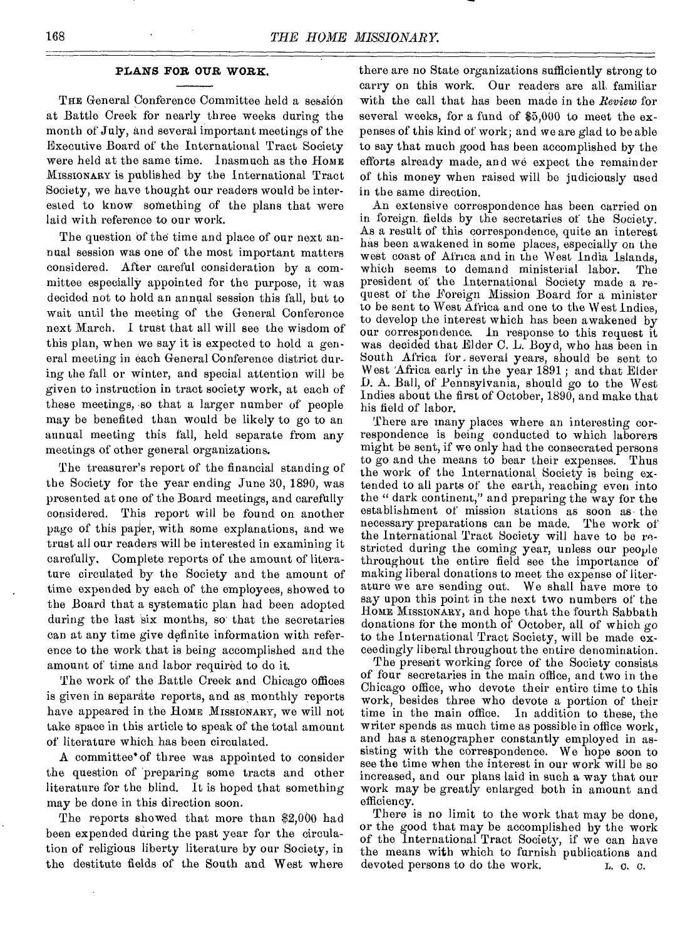#### **PLANS FOR OUR WORK.**

THE General Conference Committee held a session at Battle Creek for nearly three weeks during the month of July, and several important meetings of the Executive Board of the International Tract Society were held at the same time. Inasmuch as the HOME MISSIONARY is published by the international Tract Society, we have thought our readers would be interested to know something of the plans that were laid with reference to our work.

The question of the time and place of our next annual session was one of the most important matters considered. After careful consideration by a committee especially appointed for the purpose, it was decided not to hold an annual session this fall, but to wait until the meeting of the General Conference next March. I trust that all will see the wisdom of this plan, when we say it is expected to hold a general meeting in each General Conference district during the fall or winter, and special attention will be given to instruction in tract society work, at each of these meetings, so that a larger number of people may be benefited than would be likely to go to an annual meeting this fall, held separate from any meetings of other general organizations.

The treasurer's report of the financial standing of the Society for the year ending June 30, 1890, was presented at one of the Board meetings, and carefully considered. This report will be found on another page of this paper, with some explanations, and we trust all our readers will be interested in examining it carefully. Complete reports of the amount of literature circulated by the Society and the amount of time expended by each of the employees, showed to the Board that a systematic plan had been adopted during the last six months, so that the secretaries can at any time give definite information with reference to the work that is being accomplished and the amount of time and labor required to do it.

The work of the Battle Creek and Chicago offices is given in separate reports, and as monthly reports have appeared in the HOME MISSIONARY, we will not take space in this article to speak of the total amount of literature which has been circulated.

A committee' of three was appointed to consider the question of 'preparing some tracts and other literature for the blind. It is hoped that something may be done in this direction soon.

The reports showed that more than \$2,000 had been expended during the past year for the circulation of religious liberty literature by our Society, in the destitute fields of the South and West where

there are no State organizations sufficiently strong to carry on this work. Our readers are all, familiar with the call that has been made in the *Review* for several weeks, for a fund of \$5,000 to meet the expenses of this kind of work; and we are glad to be able to say that much good has been accomplished by the efforts already made, and we expect the remainder of this money when raised will be judiciously used in the same direction.

An extensive correspondence has been carried on in foreign. fields by the secretaries of the Society. As a result of this correspondence, quite an interest has been awakened in some places, especially on the west coast of Africa and in the West India Islands, which seems to demand ministerial labor. The president of the International Society made a request of the Foreign Mission Board for a minister to be sent to West Africa and one to the West Indies, to develop the interest which has been awakened by our correspondence. In response to this request it was decided that Elder C. L. Boyd, who has been in South Africa for . several years, should be sent to West 'Africa early in the year 1891 ; and that Elder D. A. Ball, of Pennsylvania, should go to the West Indies about the first of October, 1890, and make that his field of labor.

There are many places where an interesting correspondence is being conducted to which laborers might be sent, if we only had the consecrated persons to go and the means to bear their expenses. Thus the work of the International Society is being extended to all parts of the earth, reaching even into the " dark continent," and preparing the way for the establishment of mission stations as soon as the necessary preparations can be made. The work of the International Tract Society will have to be restricted during the coming year, unless our people throughout the entire field see the importance of making liberal donations to meet the expense of literature we are sending out. We shall have more to say upon this point in the next two numbers of the HoME MISSIONARY, and hope that the fourth Sabbath donations for the month of October, all of which go to the International Tract Society, will be made exceedingly liberal throughout the entire denomination.

The present working force of the Society consists of four secretaries in the main office, and two in the Chicago office, who devote their entire time to this work, besides three who devote a portion of their time in the main office. In addition to these, the writer spends as much time as possible in office work, and has a stenographer constantly employed in assisting with the correspondence. We hope soon to see the time when the interest in our work will be so increased, and our plans laid in such a way that our work may be greatly enlarged both in amount and efficiency.

There is no limit to the work that may be done, or the good that may be accomplished by the work of the International Tract Society, if we can have the means with which to furnish publications and devoted persons to do the work.  $L_{0.00}$ .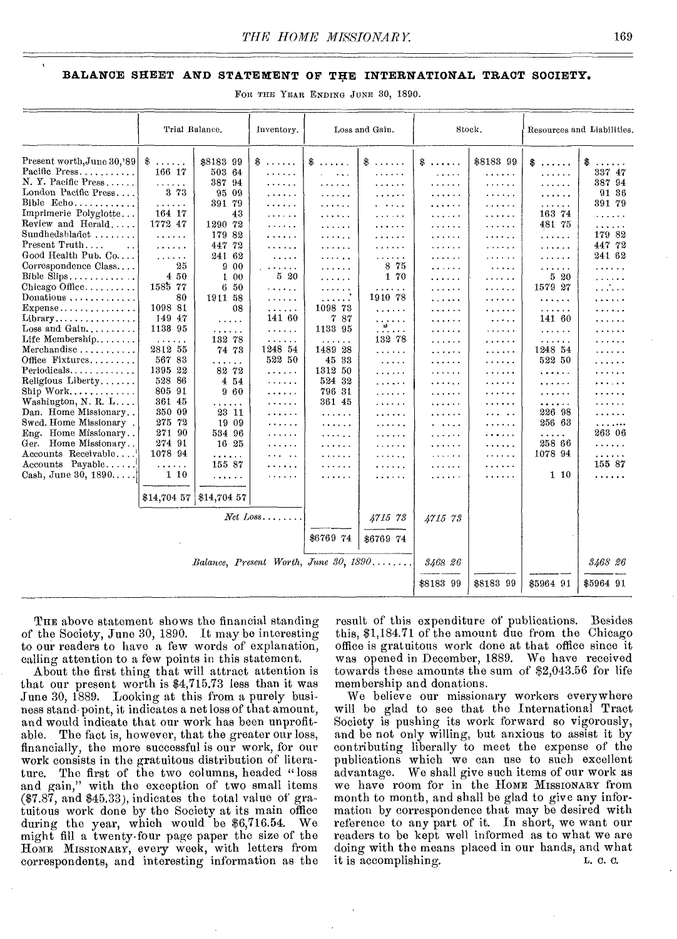#### **BALANCE SHEET AND STATEMENT OF THE INTERNATIONAL TRACT SOCIETY.**

FOR THE YEAR ENDING JUNE 30, 1890.

|                                                                                                                                                                                                                                                                                                                                                                                                                                                                                                                                                                                                                              | Trial Balance.                                                                                                                                                                                                                                                                                                                                                                                                        |                                                                                                                                                                                                                                                                                       | Loss and Gain.<br>Inventory.                                                                                                                                                                                                                                                                                                                                                                                                                              |                                                                                                                                                                                                                                                                                                                                                                                                                        |                                                                                                                                                                                                                                                                              | Stock.                                                                                                                                                                                 | Resources and Liabilities.                                                                                                                                                        |                                                                                                                                                                                                                             |                                                                                                                                                                                                                          |
|------------------------------------------------------------------------------------------------------------------------------------------------------------------------------------------------------------------------------------------------------------------------------------------------------------------------------------------------------------------------------------------------------------------------------------------------------------------------------------------------------------------------------------------------------------------------------------------------------------------------------|-----------------------------------------------------------------------------------------------------------------------------------------------------------------------------------------------------------------------------------------------------------------------------------------------------------------------------------------------------------------------------------------------------------------------|---------------------------------------------------------------------------------------------------------------------------------------------------------------------------------------------------------------------------------------------------------------------------------------|-----------------------------------------------------------------------------------------------------------------------------------------------------------------------------------------------------------------------------------------------------------------------------------------------------------------------------------------------------------------------------------------------------------------------------------------------------------|------------------------------------------------------------------------------------------------------------------------------------------------------------------------------------------------------------------------------------------------------------------------------------------------------------------------------------------------------------------------------------------------------------------------|------------------------------------------------------------------------------------------------------------------------------------------------------------------------------------------------------------------------------------------------------------------------------|----------------------------------------------------------------------------------------------------------------------------------------------------------------------------------------|-----------------------------------------------------------------------------------------------------------------------------------------------------------------------------------|-----------------------------------------------------------------------------------------------------------------------------------------------------------------------------------------------------------------------------|--------------------------------------------------------------------------------------------------------------------------------------------------------------------------------------------------------------------------|
| Present worth, June 30, '89<br>N. Y. Pacific Press<br>London Pacific Press<br>Bible Echo<br>Imprimerie Polyglotte<br>Review and Herald<br>Sundhedsbladet<br>Present Truth<br>$\ddot{\phantom{a}}$<br>Good Health Pub. Co<br>Correspondence Class<br>Bible Slips<br>Chicago Office<br>Donations<br>Expense<br>Library<br>Loss and Gain<br>Life Membership<br>Merchandise<br>Office Fixtures<br>$Periodicals. \ldots \ldots \ldots$<br>Religious Liberty<br>Washington, N. R. L<br>Dan. Home Missionary<br>Swed. Home Missionary.<br>Eng. Home Missionary<br>Ger. Home Missionary<br>Accounts Receivable<br>$Accounts$ Payable | \$<br>$\alpha$ , $\alpha$ , $\alpha$ , $\alpha$<br>166 17<br>والمتعاونة<br>3 73<br>.<br>164 17<br>1772 47<br>.<br>.<br>.<br>25<br>450<br>1585 77<br>80<br>1098 81<br>149 47<br>1138 95<br>$\alpha$ , $\alpha$ , $\alpha$ , $\alpha$ , $\alpha$<br>2812 55<br>567 83<br>1395 22<br>528 86<br>805 91<br>361 45<br>350 09<br>275 72<br>271 90<br>274 91<br>1078 94<br>$\mathbf{r}$ , and $\mathbf{r}$ , and $\mathbf{r}$ | \$8183 99<br>503 64<br>387 94<br>95 09<br>391 79<br>43<br>1290 72<br>179<br>82<br>44772<br>24162<br>900<br>100<br>650<br>1911 58<br>08<br>$\alpha$ , $\alpha$ , $\alpha$<br>.<br>132 78<br>74 73<br>.<br>82 72<br>454<br>960<br>.<br>23 11<br>19 09<br>534 96<br>16 25<br>.<br>155 87 | $\textcolor{red}{\$}$<br>.<br>.<br>.<br>.<br>.<br>$\cdots$<br>.<br>.<br>.<br>$\mathbf{1} \times \mathbf{1} \times \mathbf{1} \times \mathbf{1} \times \mathbf{1}$<br>520<br>لألاحية والمراج<br>.<br>.<br>141 60<br>$\mathbf{v} = \mathbf{v} + \mathbf{v} + \mathbf{v}$<br>$\sim$ $\sim$ $\sim$ $\sim$ $\sim$<br>1248 54<br>522 50<br>.<br>$\alpha$ , and $\alpha$ , and $\alpha$<br>.<br>1.1.1.1.1.1<br>.<br>.<br>$2.14 \pm 0.002$<br>.<br>$\ddotsc$<br>. | $\text{\$}$<br>$\cdots$<br>.<br>.<br>.<br>$\cdots$<br>.<br>.<br>.<br>.<br>.<br>.<br>$\cdots$<br>.<br>1098 73<br>7 87<br>1133 95<br>$\alpha$ is a second of $\alpha$<br>1489 28<br>45 33<br>1312 50<br>524 32<br>796 31<br>361 45<br>$\mathbf{r}$ , $\mathbf{r}$ , $\mathbf{r}$ , $\mathbf{r}$<br>.<br>$\mathbf{a} \cdot \mathbf{a} \cdot \mathbf{a} \cdot \mathbf{a} \cdot \mathbf{a} \cdot \mathbf{a}$<br>.<br>.<br>. | \$<br>.<br>.<br>$\ldots$<br>.<br>$\sim$ $\sim$ $\sim$ $\sim$<br>.<br>.<br>.<br>.<br>.<br>875<br>1 70<br>.<br>1910 78<br>$\alpha$ , $\alpha$ , $\alpha$ , $\alpha$<br>$\cdots$<br>.<br>132 78<br>.<br>$\cdots$<br>.<br>.<br>.<br>. . <i>. .</i><br>.<br>.<br>.<br>.<br>.<br>. | $\$\ldots\ldots$<br>$\sim$<br>.<br>.<br>.<br>.<br>.<br>.<br>.<br>.<br>.<br>.<br>.<br>.<br>.<br>.<br>.<br>.<br>.<br>.<br>.<br>.<br>.<br>. <b>.</b><br>.<br>.<br>.<br>.<br>$\cdots$<br>. | \$8183 99<br>.<br>.<br>.<br>.<br>.<br>.<br>.<br>.<br>.<br>$\cdots$<br>.<br>.<br>.<br>.<br>$\ldots$<br>.<br>.<br>.<br>.<br>.<br>.<br>.<br>.<br>$\cdots$ .<br>.<br>.<br>.<br>.<br>. | 8.<br>.<br>.<br>$\cdots$<br>.<br>163 74<br>481 75<br>.<br>$\cdots$<br>.<br>.<br>520<br>1579 27<br>.<br>.<br>141 60<br>1.1.1.1.1<br>.<br>1248 54<br>522 50<br>.<br>.<br>.<br>.<br>226 98<br>256 63<br>.<br>258 66<br>1078 94 | \$<br>$\sim$<br>337 47<br>387 94<br>91 36<br>391 79<br>$\sim$ and $\sim$ and $\sim$<br>.<br>179 82<br>447 72<br>24162<br>.<br>.<br>.<br>.<br>.<br>.<br>.<br>. <b>.</b><br>.<br>.<br>.<br>.<br>263 06<br>.<br>.<br>155 87 |
| Cash, June 30, 1890                                                                                                                                                                                                                                                                                                                                                                                                                                                                                                                                                                                                          | 110                                                                                                                                                                                                                                                                                                                                                                                                                   | .<br>\$14,704 57 \$14,704 57<br>Balance, Present Worth, June 30, 1890                                                                                                                                                                                                                 | والمتهاج والمناو<br>$Net\ Loss \dots \dots$                                                                                                                                                                                                                                                                                                                                                                                                               | .<br>\$6769 74                                                                                                                                                                                                                                                                                                                                                                                                         | .<br>4715 73<br>\$6769 74                                                                                                                                                                                                                                                    | .<br>4715 73<br>3468 26                                                                                                                                                                | .                                                                                                                                                                                 | $1 \; 10$                                                                                                                                                                                                                   | .<br>3468 26                                                                                                                                                                                                             |
|                                                                                                                                                                                                                                                                                                                                                                                                                                                                                                                                                                                                                              |                                                                                                                                                                                                                                                                                                                                                                                                                       |                                                                                                                                                                                                                                                                                       |                                                                                                                                                                                                                                                                                                                                                                                                                                                           |                                                                                                                                                                                                                                                                                                                                                                                                                        |                                                                                                                                                                                                                                                                              | \$8183 99                                                                                                                                                                              | \$8183 99                                                                                                                                                                         | \$5964 91                                                                                                                                                                                                                   | \$5964 91                                                                                                                                                                                                                |

THE above statement shows the financial standing of the Society, June 30, 1890. It may be interesting to our readers to have a few words of explanation, calling attention to a few points in this statement.

About the first thing that will attract attention is that our present worth is \$4,715.73 less than it was June 30, 1889. Looking at this from a purely business stand point, it indicates a net loss of that amount, and would indicate that our work has been unprofitable. The fact is, however, that the greater our loss, financially, the more successful is our work, for our work consists in the gratuitous distribution of literature. The first of the two columns, headed "loss and gain," with the exception of two small items (\$7.87, and \$45.33), indicates the total value of gratuitous work done by the Society at its main office during the year, which would be \$6,716.54. We might fill a twenty-four page paper the size of the HOME MISSIONARY, every week, with letters from correspondents, and interesting information as the

result of this expenditure of publications. Besides this, \$1,184.71 of the amount due from the Chicago office is gratuitous work done at that office since it was opened in December, 1889. We have received towards these amounts the sum of \$2,043.56 for life membership and donations.

We believe our missionary workers everywhere will be glad to see that the International Tract Society is pushing its work forward so vigorously, and be not only willing, but anxious to assist it by contributing liberally to meet the expense of the publications which we can use to such excellent advantage. We shall give such items of our work as we have room for in the HOME MISSIONARY from month to month, and shall be glad to give any information by correspondence that may be desired with reference to any part of it. In short, we want our readers to be kept well informed as to what we are doing with the means placed in our hands, and what it is accomplishing. L. O. C.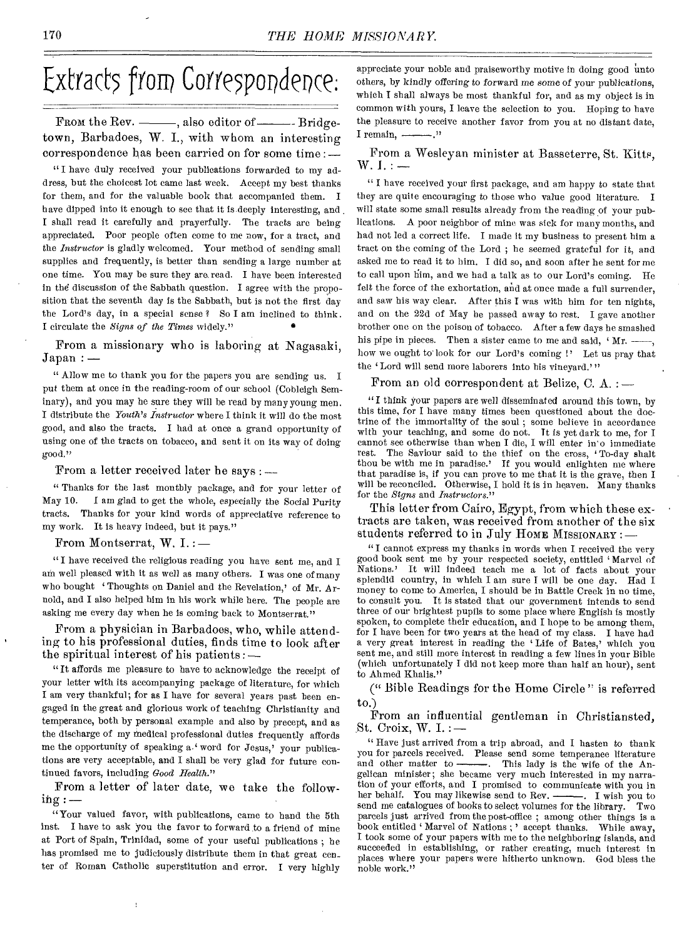# Extracts from Correspondence:

From the Rev. - also editor of Tridgetown, Barbadoes, W. I., with whom an interesting correspondence has been carried on for some time : —

" I have duly received your publications forwarded to my address, but the choicest lot came last week. Accept my best thanks for them, and for the valuable book that accompanied them. I have dipped into it enough to see that it is deeply interesting, and I shall read it carefully and prayerfully. The tracts are being appreciated. Poor people often come to me now, for a tract, and the *Instructor* is gladly welcomed. Your method of sending small supplies and frequently, is better than sending a large number at one time. You may be sure they are read. I have been interested in the discussion of the Sabbath question. I agree with the proposition that the seventh day is the Sabbath, but is not the first day the Lord's day, in a special sense ? So I am inclined to think. I circulate the *Signs of the Times* widely." •

From a missionary who is laboring at Nagasaki, Japan : —

" Allow me to thank you for the papers you are sending us. I put them at once in the reading-room of our school (Cobleigh Seminary), and you may be sure they will be read by many young men. I distribute the *Youth's Instructor* where I think it will do the most good, and also the tracts. I had at once a grand opportunity of using one of the tracts on tobacco, and sent it on its way of doing good."

From a letter received later he says : —

" Thanks for the last monthly package, and for your letter of May 10. I am glad to get the whole, especially the Social Purity tracts. Thanks for your kind words of appreciative reference to my work. It is heavy indeed, but it pays."

From Montserrat, W. I. :—

" I have received the religious reading you have sent me, and I am well pleased with it as well as many others. I was one of many who bought 'Thoughts on Daniel and the Revelation,' of Mr. Arnold, and I also helped him in his work while here. The people are asking me every day when he is coming back to Montserrat."

From a physician in Barbadoes, who, while attending to his professional duties, finds time to look after the spiritual interest of his patients : —

"It affords me pleasure to have to acknowledge the receipt of your letter with its accompanying package of literature, for which I am very thankful; for as I have for several years past been engaged in the great and glorious work of teaching Christianity and temperance, both by personal example and also by precept, and as the discharge of my medical professional duties frequently affords me the opportunity of speaking a.' word for Jesus,' your publications are very acceptable, and I shall be very glad for future continued favors, including *Good Health."* 

From a letter of later date, we take the follow $ing:$ 

"Your valued favor, with publications, came to hand the 5th inst. I have to ask you the favor to forward to a friend of mine at Port of Spain, Trinidad, some of your useful publications ; he has promised me to judiciously distribute them in that great con\_ ter of Roman Catholic superstitution and error. I very highly

appreciate your noble and praiseworthy motive in doing good unto others, by kindly *offering* to forward me some *of* your publications, which I shall always be most thankful for, and as my object is in common with yours, I leave the selection to you. Hoping to have the pleasure to receive another favor from you at no distant date, I remain,  $\cdots$ 

From a Wesleyan minister at Basseterre, St. Kitts,  $W. I. : -$ 

" I have received your first package, and am happy to state that they are quite encouraging to those who value good literature. I will state some small results already from the reading of your publications. A poor neighbor of mine was sick for many months, and had not led a correct life. I made it my business to present him a tract on the coming of the Lord ; he seemed grateful for it, and asked me to read it to him. I did so, and soon after he sent for me to call upon him, and we had a talk as to our Lord's coming. He felt the force of the exhortation, and at once made a full surrender. and saw his way clear. After this I was with him for ten nights, and on the 22d of May he passed away to rest. I gave another brother one on the poison of tobacco. After a few days he smashed his pipe in pieces. Then a sister came to me and said,  $4$  Mr.  $$ how we ought to look for our Lord's coming !' Let us pray that the 'Lord will send more laborers into his vineyard.'"

From an old correspondent at Belize, C. A. : —

"I think your papers are well disseminated around this town, by this time, for I have many times been questioned about the doctrine of the immortality of the soul ; some believe in accordance with your teaching, and some do not. It is yet dark to me, for I cannot see otherwise than when I die, I will enter in'o immediate rest. The Saviour said to the thief on the cross, 'To-day shalt thou be with me in paradise.' If you would enlighten me where that paradise is, *if* you can prove to me that it is the grave, then I will be reconciled. Otherwise, I hold it is in heaven. Many thanks for the *Signs* and *Instructors."* 

This letter from Cairo, Egypt, from which these extracts are taken, was received from another of the six students referred to in July HOME MISSIONARY : —

" I cannot express my thanks in words when I received the very good book sent me by your respected society, entitled Marvel of Nations.' It will indeed teach me a lot of facts about your splendid country, in which I am sure I will be one day. Had I money to come to America, I should be in Battle Creek in no time, to consult you. It is stated that our government intends to send three of our brightest pupils to some place where English is mostly spoken, to complete their education, and I hope to be among them, for I have been for two years at the head of my class. I have had a very great interest in reading the Life of Bates,' which you sent me, and still more interest in reading a few lines in your Bible (which unfortunately I did not keep more than half an hour), sent to Ahmed Khalis."

(" Bible Readings for the Home Circle" is referred to.)

From an influential gentleman in Christiansted, St. Croix, W. I. :  $-$ 

" Have just arrived from a trip abroad, and I hasten to thank you for parcels received. Please send some temperance literature<br>and other matter to ————. This lady is the wife of the An-This lady is the wife of the Angelican minister; she became very much interested in my narration of your efforts, and I promised to communicate with you in her behalf. You may likewise send to Rev. send me catalogues of books to select volumes for the library. Two parcels just arrived from the post-office ; among other things is a book entitled 'Marvel of Nations ; ' accept thanks. While away, I took some of your papers with me to the neighboring islands, and succeeded in establishing, or rather creating, much interest in places where your papers were hitherto unknown. God bless the noble work."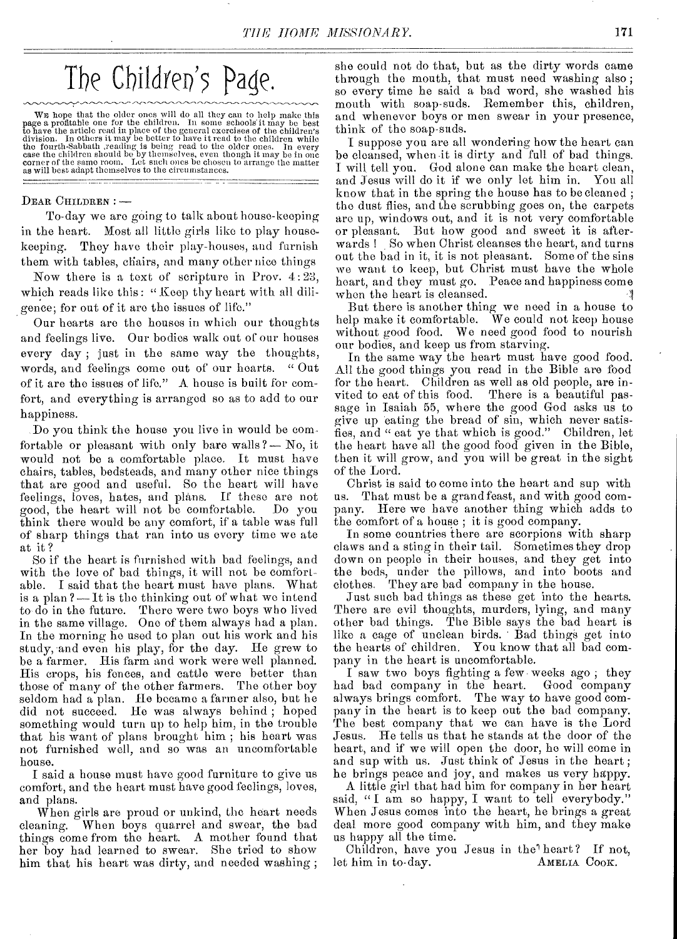# The Children's Page.

WE hope that the older ones will do all they can to help make this<br>page a profitable one for the children. In some schools it may be best<br>to have the article read in place of the egeneral exercises of the children's<br>divis

#### **DEAR CHILDREN : --**

**To-day** we are going to talk about house-keeping in the heart. Most all little girls like to play housekeeping. They have their play-houses, and furnish them with tables, chairs, and many other nice things

Now there is a text of scripture in Prov. 4:23, which reads like this: "Keep thy heart with all diligence; for out of it are the issues of life."

Our hearts are the houses in which our thoughts and feelings live. Our bodies walk out of **Our** houses every day ; just in the same way the thoughts, words, and feelings come out of our hearts. " Out of it are the issues of life." A house is built for comfort, and everything is arranged so as to add to our happiness.

.Do you think the house you live in would be comfortable or pleasant with only bare walls?— No, it would not be a comfortable place. It must have chairs, tables, bedsteads, and many other nice things that are good and useful. So the heart will have feelings, loves, hates, and plans. If these are not good, the heart will not be comfortable. think there would be any comfort, if a table was full of sharp things that ran into us every time we ate at it ?

So if the heart is furnished with bad feelings, and with the love of bad things, it will not be comfortable. I said that the heart must have plans. What is a plan ?— It is the thinking out of' what we intend to-do in the future. There were two boys who lived in the same village. One of them always had a plan. In the morning he used to plan out his work and his study, and even his play, for the day. He grew to be a farmer. His farm and work were well planned. His crops, his fences, and cattle were better than those of many of the other farmers. The other boy seldom had a plan. He became a farmer also, but he did not succeed. He was always behind ; hoped something would turn up to help him, in the trouble that his want of plans brought him ; his heart was not furnished well, and so was an uncomfortable house.

I said a house must have good furniture to give us comfort, and the heart must have good feelings, loves, and plans.

When girls are proud or unkind, the heart needs cleaning. When boys quarrel and swear, the bad things come from the heart. A mother found that her boy had learned to swear. She tried to show him that his heart was dirty, and needed washing ;

she could not do that, but as the dirty words came through the mouth, that must need washing also ; so every time he said a bad word, she washed his mouth with soap-suds. Remember this, children, and whenever boys or men swear in your presence, think of the soap-suds.

I suppose you are all wondering how the heart can be cleansed, when it is dirty and full of bad things. I will tell you. God alone can make the heart clean, and Jesus will do it if we only let him in. You all know that in the spring the house has to be cleaned ; the dust flies, and the scrubbing goes on, the carpets are up, windows out, and it is not very comfortable or pleasant. But how good and sweet it is afterwards ! So when Christ cleanses the heart, and turns out the bad in it, it is not pleasant. Some of the sins we want to keep, but Christ must have the whole heart, and they must go. Peace and happiness come when the heart is cleansed.

But there is another thing we need in a house to help make it comfortable. We could not keep house without good food. We need good food to nourish our bodies, and keep us from starving.

In the same way the heart must have good food. All the good things you read in the Bible are food for the heart. Children as well as old people, are invited to eat of this food. There is a beautiful pasvited to eat of this food. sage in Isaiah 55, where the good God asks us to give up eating the bread of sin, which never satisfies, and " eat ye that which is good." Children, let the heart have all the good food given in the Bible, then it will grow, and you will be great in the sight of the Lord.

Christ is said to come into the heart and sup with us. That must be a grand feast, and with good company. Here we have another thing which adds to the comfort of a house ; it is good company.

In some countries there are scorpions with sharp claws and a sting in their tail. Sometimes they drop down on people in their houses, and they get into the beds, under the pillows, and into boots and clothes. They are bad company in the house.

Just such bad things as these get into the hearts. There are evil thoughts, murders, lying, and many other bad things. The Bible says the bad heart is like a cage of unclean birds. Bad things get into the hearts of children. You know that all bad company in the heart is uncomfortable.

I saw two boys fighting a few weeks ago; they<br>d bad company in the heart. Good company had bad company in the heart. always brings comfort. The way to have good company in the heart is to keep out the bad company. The best company that we can have is the Lord Jesus. He tells us that he stands at the door of the heart, and if we will open the door, he will come in and sup with us. Just think of Jesus in the heart ; he brings peace and joy, and makes us very happy.

A little girl that had him for company in her heart said, "I am so happy, I want to tell everybody." When Jesus comes into the heart, he brings a great deal more good company with him, and they make us happy all the time.

Children, have you Jesus in the heart? If not,<br>thim in to-day. AMELIA COOK. let him in to-day.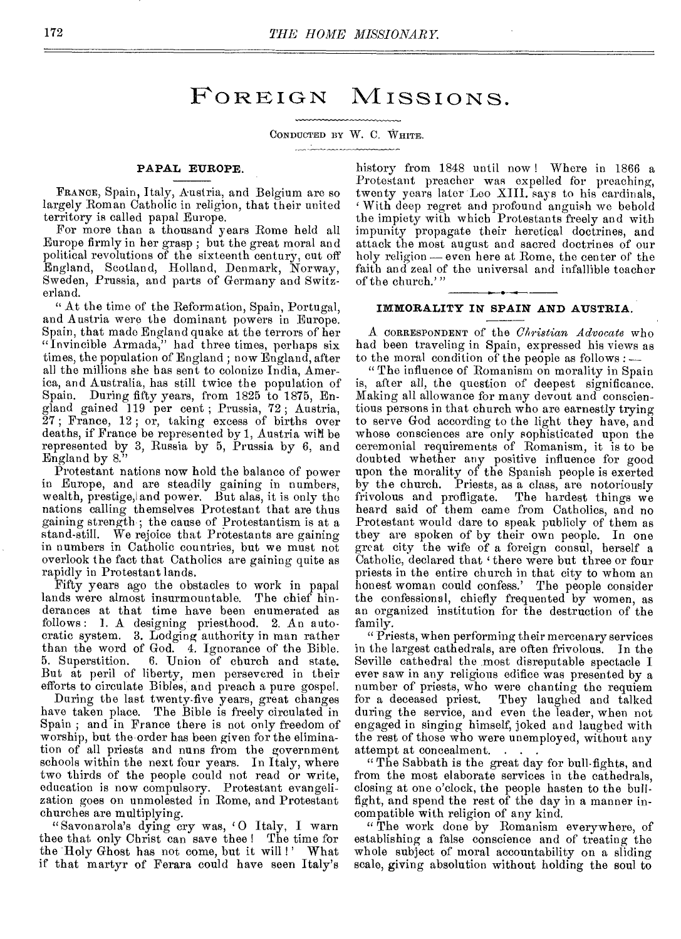## FOREIGN MISSIONS.

CONDUCTED BY W. C. WHITE.

#### PAPAL EUROPE.

FRANCE, Spain, Italy, Austria, and Belgium are so largely Roman Catholic in religion, that their united territory is called papal Europe.

For more than a thousand years Rome held all Europe firmly in her grasp ; but the great moral and political revolutions of the sixteenth century, cut off England, Scotland, Holland, Denmark, Norway, Sweden, Prussia, and parts of Germany and Switzerland.

" At the time of the Reformation, Spain, Portugal, and Austria were the dominant powers in Europe. Spain, that made England quake at the terrors of her "Invincible Armada," had three times, perhaps six times, the population of England ; now England, after all the millions she bas sent to colonize India, America, and Australia, has still twice the population of Spain. During fifty years, from 1825 to 1875, England gained 119 per cent ; Prussia, 72 ; Austria, 27 ; France, 12 ; or, taking excess of births over deaths, if France be represented by 1, Austria wiN be represented by 3, Russia by 5, Prussia by 6, and England by 8."

Protestant nations now hold the balance of power in Europe, and are steadily gaining in numbers, wealth, prestige, and power. But alas, it is only the nations calling themselves Protestant that are thus gaining strength; the cause of Protestantism is at a stand-still. We rejoice that Protestants are gaining in numbers in Catholic countries, but we must not overlook the fact that Catholics are gaining quite as rapidly in Protestant lands.

Fifty years ago the obstacles to work in papal lands were almost insurmountable. The chief hinderances at that time have been enumerated as follows: 1. A designing priesthood. 2. An autocratic system. 3. Lodging authority in man rather than the word of God. 4. Ignorance of the Bible.<br>5. Superstition. 6. Union of church and state. 6. Union of church and state. But at peril of liberty, men persevered in their efforts to circulate Bibles, and preach a pure gospel.

During the last twenty-five years, great changes have taken place. The Bible is freely circulated in Spain ; and in France there is not only freedom of worship, but the order has been given for the elimination of all priests and nuns from the government schools within the next four years. In Italy, where two thirds of the people could not read or write, education is now compulsory. Protestant evangelization goes on unmolested in Rome, and Protestant churches are multiplying.

"Savonarola's dying cry was, 'O Italy, I warn thee that only Christ can save thee ! The time for the Holy Ghost has not come, but it will !' What if that martyr of Ferara could have seen Italy's

history from 1848 until now ! Where in 1866 a Protestant preacher was expelled for preaching, twenty years later Leo XIII. says to his cardinals, With deep regret and profound anguish we behold the impiety with which Protestants freely and with impunity propagate their heretical doctrines, and attack the most august and sacred doctrines of our holy religion — even here at Rome, the center of the faith and zeal of the universal and infallible teacher of the church.'"

#### IMMORALITY IN SPAIN AND AUSTRIA.

A CORRESPONDENT of the *Christian Advocate* who had been traveling in Spain, expressed his views as to the moral condition of the people as follows : —

" The influence of Romanism on morality in Spain is, after all, the question of deepest significance. Making all allowance for many devout and conscientious persons in that church who are earnestly trying to serve God according to the light they have, and whose consciences are only sophisticated upon the ceremonial requirements of Romanism, it is to be doubted whether any positive influence for good upon the morality of the Spanish people is exerted by the church. Priests, as a class, are notoriously frivolous and profligate. The hardest things we heard said of them came from Catholics, and no Protestant would dare to speak publicly of them as they are spoken of by their own people. In one great city the wife of a foreign consul, herself a Catholic, declared that 'there were but three or four priests in the entire church in that city to whom an honest woman could confess.' The people consider the confessional, chiefly frequented by women, as an organized institution for the destruction of the family.

"Priests, when performing their mercenary services in the largest cathedrals, are often frivolous. In the Seville cathedral the most disreputable spectacle I ever saw in any religious edifice was presented by a number of priests, who were chanting the requiem<br>for a deceased priest. They laughed and talked They laughed and talked during the service, and even the leader, when not engaged in singing himself; joked and laughed with the rest of those who were unemployed, without any attempt at concealment. . . .

" The Sabbath is the great day for bull-fights, and from the most elaborate services in the cathedrals, closing at one o'clock, the people hasten to the bullfight, and spend the rest of the day in a manner incompatible with religion of any kind.

" The work done by Romanism everywhere, of establishing a false conscience and of treating the whole subject of moral accountability on a sliding scale, giving absolution without holding the soul to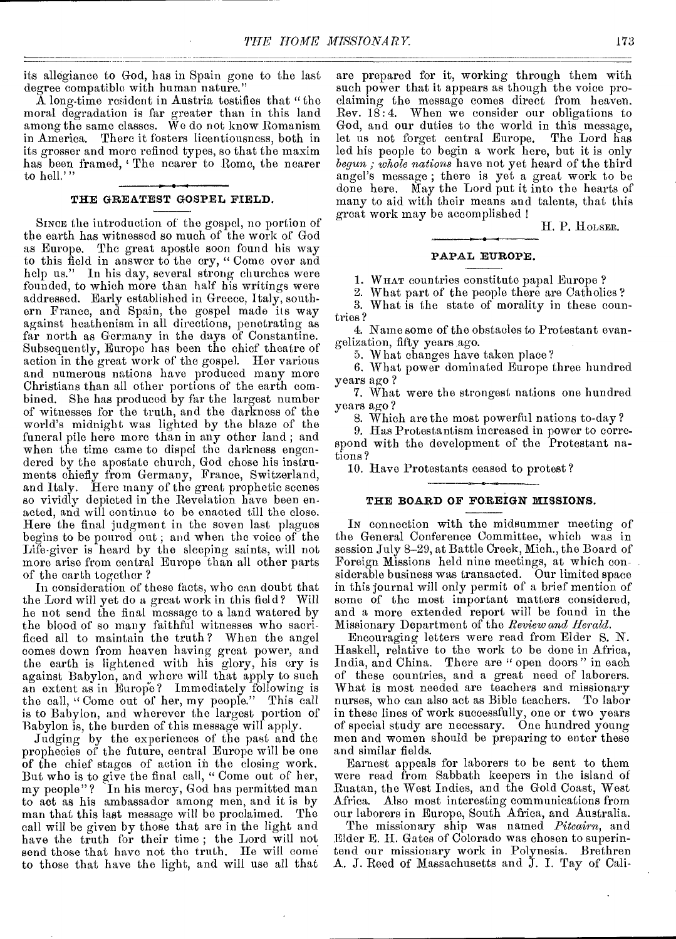its allegiance to God, has in Spain gone to the last degree compatible with human nature."

A long-time resident in Austria testifies that "the moral degradation is far greater than in this land among the same classes. We do not know Romanism in America. There it fosters licentiousness, both in its grosser and more refined types, so that the maxim has been framed, 'The nearer to Rome, the nearer to hell."

#### THE GREATEST GOSPEL FIELD.

SINCE the introduction of the gospel, no portion of the earth has witnessed so much of the work of God as Europe. The great apostle soon found his way to this field in answer to the cry, " Come over and help us." In his day, several strong churches were founded, to which more than half his writings were addressed. Early established in Greece, Italy, southern France, and Spain, the gospel made its way against heathenism in all directions, penetrating as far north as Germany in the days of Constantine. Subsequently, Europe has been the chief theatre of action in the great work of the gospel. Her various and numerous nations have produced many more Christians than all other portions of the earth combined. She has produced by far the largest number of witnesses for the truth, and the darkness of the world's midnight was lighted by the blaze of the funeral pile here more than in any other land ; and when the time came to dispel the darkness engendered by the apostate church, God chose his instruments chiefly from Germany, France, Switzerland, and Italy. Here many of the great prophetic scenes so vividly depicted in the Revelation have been enacted, and will continuo to be enacted till the close. Here the final judgment in the seven last plagues begins to be poured out; and when the voice of the Life-giver is heard by the sleeping saints, will not more arise from central Europe than all other parts of the earth together ?

In consideration of these facts, who can doubt that the Lord will yet do a great work in this field? Will he not send the final message to a land watered by the blood of so many faithful witnesses who sacrificed all to maintain the truth ? When the angel comes down from heaven having great power, and the earth is lightened with his glory, his cry is against Babylon, and where will that apply to such an extent as in Europe? Immediately following is the call, "Come out of her, my people." This call is to Babylon, and wherever the largest portion of Babylon is, the burden of this message will apply.

Judging by the experiences of the past and the prophecies of the future, central Europe will be one of the chief stages of action in the closing work. But who is to give the final call, " Come out of her, my people"? In his mercy, God has permitted man to act as his ambassador among men, and it is by man that this last message will be proclaimed. call will be given by those that are in the light and have the truth for their time ; the Lord will not send those that have not the truth. He will come to those that have the light, and will use all that

are prepared for it, working through them with such power that it appears as though the voice proclaiming the message comes direct from heaven. Rev.  $18:4$ . When we consider our obligations to God, and our duties to the world in this message, let us not forget central Europe. The Lord has led his people to begin a work here, but it is only *begun ; whole nations* have not yet heard of the third angel's message ; there is yet a great work to be done here. May the Lord put it into the hearts of many to aid with their means and talents, that this great work may be accomplished !

H. P. HOLSER.

#### PAPAL EUROPE.

1. WHAT countries constitute papal Europe ?

2. What part of the people there are Catholics? 3. What is the state of morality in these coun-

tries?

4. Name some of the obstacles to Protestant evangelization, fifty years ago.

5. W hat changes have taken place ?

6. What power dominated Europe three hundred years ago ?

7. What were the strongest nations one hundred years ago ?

8. Which are the most powerful nations to-day ?

9. Has Protestantism increased in power to correspond with the development of the Protestant nations ?

10. Have Protestants ceased to protest ?

#### THE BOARD OF FOREIGN MISSIONS.

IN connection with the midsummer meeting of the General Conference Committee, which was in session July 8-29, at Battle Creek, Mich., the Board of Foreign Missions held nine meetings, at which considerable business was transacted. Our limited space in this journal will only permit of a brief mention of some of the most important matters considered, and a more extended report will be found in the Missionary Department of the *Review and Herald.* 

Encouraging letters were read from Elder S. N. Haskell, relative to the work to be done in Africa, India, and China. There are " open doors " in each of these countries, and a great need of laborers. What is most needed are teachers and missionary nurses, who can also act as Bible teachers. To labor in these lines of work successfully, one or two years of special study are necessary. One hundred young men and women should be preparing to enter these and similar fields.

Earnest appeals for laborers to be sent to them were read from Sabbath keepers in the island of Ruatan, the West Indies, and the Gold Coast, West Africa. Also most interesting communications from our laborers in Europe, South Africa, and Australia.

The missionary ship was named *Pitcairn,* and Elder E. H. Gates of Colorado was chosen to superintend our missionary work in Polynesia. Brethren A. J. Reed of Massachusetts and J. I. Tay of Cali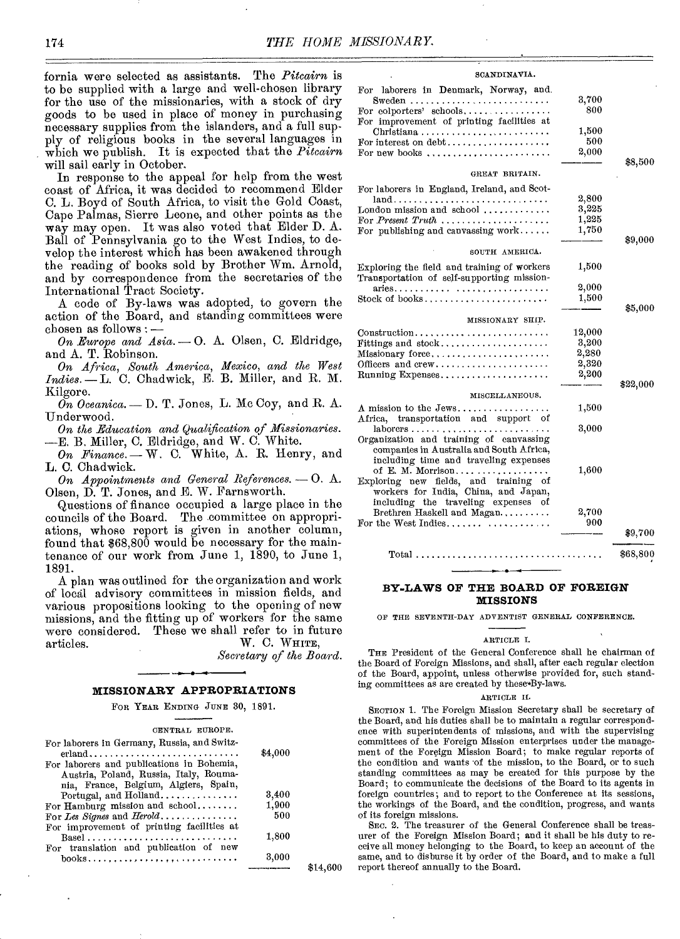fornia were selected as assistants. The *Pitcairn* is to be supplied with a large and well-chosen library for the use of the missionaries, with a stock of dry goods to be used in place of money in purchasing necessary supplies from the islanders, and a full supply of religious books in the several languages in which we publish. It is expected that the *Pitcairn*  will sail early in October.

In response to the appeal for help from the west coast of Africa, it was decided to recommend Elder C. L. Boyd of South Africa, to visit the Gold Coast, Cape Palmas, Sierre Leone, and other points as the way may open. It was also voted that Elder D. A. Ball of Pennsylvania go to the West Indies, to develop the interest which has been awakened through the reading of books sold by Brother Wm. Arnold, and by correspondence from the secretaries of the International Tract Society.

A code of By-laws was adopted, to govern the action of the Board, and standing committees were International Tract Society<br>A code of By-laws v<br>action of the Board, an<br>chosen as follows : --<br>On Europe and Asia. -*Chosen as follows :*  $\frac{1}{2}$ <br>*On Europe and Asia.* - O. A. Olsen, C. Eldridge,

and A. T. Robinson.

*On Africa, South America, Mexico, and the West Indies. -* L. C. Chadwick, E. B. Miller, and R. M. Kilgore.

 $\overline{On}$  Oceanica. — D. T. Jones, L. Mc Coy, and R. A. Underwood.

*On the Education and Qualification of Missionaries.*  -E. B. Miller, C. Eldridge, and W. C. White.

 $\mathit{On}$  Finance.  $\longrightarrow$  W. C. White, A. R. Henry, and L. C. Chadwick.

*On Appointments and General References. -0.* A. Olsen, D. T. Jones, and E. W. Farnsworth.

Questions of finance occupied a large place in the councils of the Board. The committee on appropriations, whose report is given in another column, found that \$68,800 would be necessary for the maintenance of our work from June 1, 1890, to June 1, 1891.

A plan was outlined for the organization and work of local advisory committees in mission fields, and various propositions looking to the opening of new missions, and the fitting up of workers for the same were considered. These we shall refer to in future articles. W. C. WHITE,

*Secretary of the Board.* 

#### **MISSIONARY APPROPRIATIONS**

FOR YEAR ENDING JUNE 30, 1891.

#### CENTRAL EUROPE.

| For laborers in Germany, Russia, and Switz-<br>$erland \dots \dots \dots \dots \dots \dots \dots \dots \dots \dots \dots$ | \$4,000 |   |
|---------------------------------------------------------------------------------------------------------------------------|---------|---|
| For laborers and publications in Bohemia,                                                                                 |         |   |
| Austria, Poland, Russia, Italy, Rouma-                                                                                    |         |   |
| nia, France, Belgium, Algiers, Spain,                                                                                     |         |   |
| Portugal, and Holland                                                                                                     | 3,400   |   |
| For Hamburg mission and school                                                                                            | 1,900   |   |
| For Les Signes and Herold                                                                                                 | 500     |   |
| For improvement of printing facilities at                                                                                 |         |   |
|                                                                                                                           | 1,800   |   |
| For translation and publication of new                                                                                    |         |   |
| $books, , , , , , , ,$                                                                                                    | 3,000   |   |
|                                                                                                                           |         | . |

#### SCANDINAVIA

| <b>סעבוע באנגער המ</b> ס                                                                                                     |              |          |
|------------------------------------------------------------------------------------------------------------------------------|--------------|----------|
| For laborers in Denmark, Norway, and.                                                                                        | 3,700<br>800 |          |
| For improvement of printing facilities at<br>Christiana                                                                      | 1,500        |          |
| For interest on $debt$<br>For new books $\ldots$ , $\ldots$ , $\ldots$ , $\ldots$                                            | 500<br>2,000 |          |
| GREAT BRITAIN.                                                                                                               |              | \$8,500  |
|                                                                                                                              |              |          |
| For laborers in England, Ireland, and Scot-                                                                                  | 2,800        |          |
| London mission and school $\ldots \ldots \ldots$                                                                             | 3,225        |          |
|                                                                                                                              | 1,225        |          |
| For Present Truth $\ldots \ldots \ldots \ldots \ldots$<br>For publishing and canvassing work                                 | 1,750        |          |
|                                                                                                                              |              | \$9,000  |
| SOUTH AMERICA.                                                                                                               |              |          |
| Exploring the field and training of workers<br>Transportation of self-supporting mission-                                    | 1,500        |          |
| $aries \ldots \ldots \ldots \ldots$                                                                                          | 2,000        |          |
|                                                                                                                              | 1,500        |          |
|                                                                                                                              |              | \$5,000  |
| MISSIONARY SHIP.                                                                                                             |              |          |
| $Construction \dots \dots \dots \dots \dots \dots \dots \dots \dots$                                                         | 12,000       |          |
| ${\bf Fittings}$ and ${\rm stock.}$ , , $\ldots$ , $\ldots$ , , , $\ldots$ ,                                                 | 3,200        |          |
|                                                                                                                              | 2,280        |          |
| Officers and crew                                                                                                            | 2,320        |          |
| $\text{Running}$ Expenses                                                                                                    | 2,200        |          |
| MISCELLANEOUS.                                                                                                               |              | \$22,000 |
| $\Lambda$ mission to the Jews                                                                                                | 1,500        |          |
| Africa, transportation and support of                                                                                        |              |          |
| laborers                                                                                                                     | 3,000        |          |
| Organization and training of canvassing<br>companies in Australia and South Africa,<br>including time and traveling expenses |              |          |
| of E. M. Morrison<br>Exploring new fields, and training<br>of                                                                | 1,600        |          |
| workers for India, China, and Japan,<br>including the traveling expenses of                                                  |              |          |
| Brethren Haskell and Magan                                                                                                   | 2,700        |          |
| For the West Indies.                                                                                                         | 900          |          |
|                                                                                                                              |              | \$9,700  |
|                                                                                                                              |              | \$68,800 |
|                                                                                                                              |              |          |

#### **BY-LAWS OF THE BOARD OF FOREIGN MISSIONS**

OF THE SEVENTH-DAY ADVENTIST GENERAL CONFERENCE.

#### ARTICLE I.

THE President of the General Conference shall he chairman of the Board of Foreign Missions, and shall, after each regular election of the Board, appoint, unless otherwise provided for, such standing committees as are created by these By-laws.

#### ARTICLE II.

SECTION 1. The Foreign Mission Secretary shall be secretary of the Board, and his duties shall be to maintain a regular correspondence with superintendents of missions, and with the supervising committees of the Foreign Mission enterprises under the management of the Foreign Mission Board; to make regular reports of the condition and wants of the mission, to the Board, or to such standing committees as may be created for this purpose by the Board; to communicate the decisions of the Board to its agents in foreign countries; and to report to the Conference at its sessions, the workings of the Board, and the condition, progress, and wants of its foreign missions.

SEC. 2. The treasurer of the General Conference shall be treasurer of the Foreign Mission Board; and it shall be his duty to receive all money belonging to the Board, to keep an account of the same, and to disburse it by order of the Board, and to make a full \$14,600 report thereof annually to the Board.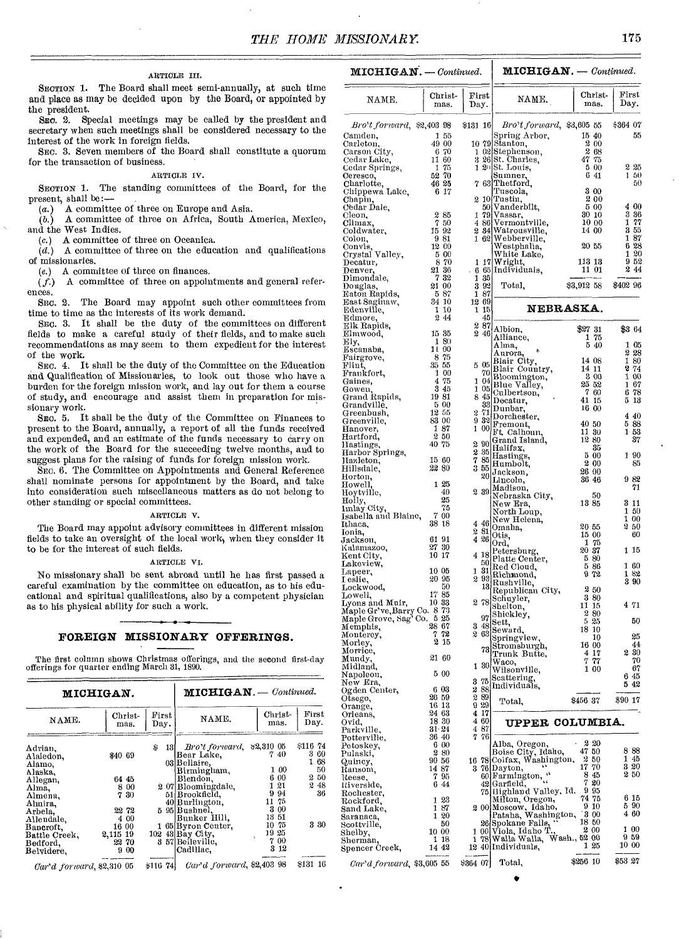### **MICHIGAN.** — *Continued.* | **MICHIGAN.** — *Continued.* | **MICHIGAN.** — *Continued.*

SECTION 1. The Board shall meet semi-annually, at such time and place as may be decided upon by the Board, or appointed by the president.<br>SEC. 2. St

Special meetings may be called by the president and secretary when such meetings shall be considered necessary to the interest of the work in foreign fields.

SEC. 3. Seven members of the Board shall constitute a quorum for the transaction of business.

#### ARTICLE IV.

SECTION 1. The standing committees of the Board, for the present, shall be:—

 $(a.)$  A committee of three on Europe and Asia.

*(5.)* A committee of three on Africa, South America, Mexico, and the West Indies.

(c.) A committee of three on Oceanica.

 $(d.)$  A committee of three on the education and qualifications of missionaries.

(e.) A committee of three on finances.

 $(f.)$  A committee of three on appointments and general references.

SEC. 2. The Board may appoint such other committees from time to time as the interests of its work demand.

SEC. 3. It shall be the duty of the committees on different fields to make a careful study of their fields, and to make such recommendations as may seem to them expedient for the interest of the work.

SEC. 4. It shall be the duty of the Committee on the Education and Qualification of Missionaries, to look out those who have a burden for the foreign mission work, and lay out for them a course of study, and encourage and assist them in preparation for missionary work.

SEC. 5. It shall be the duty of the Committee on Finances to present to the Board, annually, a report of all the funds received and expended, and an estimate of the funds necessary to carry on the work of the Board for the succeeding twelve months, and to suggest plans for the raising of funds for foreign mission work.

SEC. 6. The Committee on Appointments and General Reference shall nominate persons for appointment by the Board, and take into consideration such miscellaneous matters as do not belong to other standing or special committees.

#### ARTICLE V.

The Board may appoint advisory committees in different mission fields to take an oversight of the local work, when they consider it to be for the interest of such fields.

#### ARTICLE VI.

No missionary shall be sent abroad until he has first passed a careful examination by the committee on education, as to his educational and spiritual qualifications, also by a competent physician as to his physical ability for such a work.

#### **FOREIGN MISSIONARY OFFERINGS.**

The first column shows Christmas offerings, and the second first-day offerings for quarter ending March 31, 1890.

|                                                                                                                                                                       | <b>MICHIGAN.</b>                                                                       |                | <b>MICHIGAN.</b> - Continued.                                                                                                                                                                                                                |                                                                                                          |                                                          |  |  |  |
|-----------------------------------------------------------------------------------------------------------------------------------------------------------------------|----------------------------------------------------------------------------------------|----------------|----------------------------------------------------------------------------------------------------------------------------------------------------------------------------------------------------------------------------------------------|----------------------------------------------------------------------------------------------------------|----------------------------------------------------------|--|--|--|
| NAME.                                                                                                                                                                 | Christ-<br>mas.                                                                        | First<br>Day.  | NAME.                                                                                                                                                                                                                                        | Christ-<br>mas.                                                                                          | First<br>Day.                                            |  |  |  |
| Adrian,<br>Alaiedon,<br>Alamo,<br>Alaska.<br>Allegan,<br>Alma,<br>Almena,<br>Almira,<br>Arbela.<br>Allendale,<br>Bancroft.<br>Battle Creek,<br>Bedford,<br>Belvidere. | \$40 69<br>64 45<br>8 00<br>7 30<br>22 72<br>4 00<br>16 00<br>2,115 19<br>22 70<br>900 | \$<br>131<br>я | Bro't forward,<br> Bear Lake.<br>03 Bellaire,<br>Birmingham,<br>Blendon,<br>207 Bloomingdale,<br>51 Brookfield.<br>40 Burlington.<br>5 95 Bushnel.<br> Bunker Hill,<br>1 65 Byron Center.<br>102 43 Bay City.<br>57 Belleville.<br>Cadillac. | \$2,310 05<br>740<br>1 00<br>6 00<br>121<br>9.94<br>11 75<br>3 00<br>1351<br>10 75<br>1925<br>700<br>312 | \$116 74<br>360<br>168<br>50<br>2 50<br>248<br>36<br>330 |  |  |  |
| Case d for march \$2,810,05                                                                                                                                           |                                                                                        | \$116 74       | Car'd forward, \$2,403 98                                                                                                                                                                                                                    |                                                                                                          | \$131 16                                                 |  |  |  |

*Car'd forward,* \$2,310 05

| NAME.                                                   | Christ-<br>mas.                                  | $_{\rm First}$<br>Day. | NAME.                                      | Christ-<br>mas.      | First<br>Day.  |
|---------------------------------------------------------|--------------------------------------------------|------------------------|--------------------------------------------|----------------------|----------------|
| Bro't forward, \$2,403 98                               |                                                  | \$131 16               | Bro't forward, \$3,605 55                  |                      | \$364 07       |
| Camden,<br>Carleton,                                    | 155<br>49 00                                     |                        | Spring Arbor,<br>10 79 Stanton,            | 15 40<br>200         | 55             |
| Carson City,                                            | 6 70                                             |                        | 1 02 Stephenson,                           | 2 68                 |                |
| Cedar Lake,<br>Cedar Springs,                           | 11 60<br>75<br>1                                 |                        | 3 26 St. Charles,<br>$120$ St. Louis.      | 47 75<br>5 00        | 225            |
| Ceresco,                                                | 52 70                                            |                        | Sumner,                                    | 641                  | 150            |
| Charlotte,<br>Chippewa Lake,                            | 46 25<br>6 17                                    |                        | 7 63 Thetford.<br>Tuscola,                 | 3 00                 | 50             |
| Chapin,<br>Cedar Dale.                                  |                                                  |                        | 2 10 Tustin,<br>50 Vanderbilt,             | 200<br>5 00          | 4 00           |
| Cleon,                                                  | 285                                              | 1                      | 79 Vassar,                                 | 30 <sub>10</sub>     | 3 36           |
| Climax,<br>Coldwater,                                   | 750<br>15 92                                     |                        | 4 86 Vermontville.<br>2 34 Watrousville.   | 10 00<br>14 00       | 77<br>1<br>355 |
| Colon,                                                  | 981                                              |                        | 1 62 Webberville,                          |                      | 187            |
| Convis,<br>Crystal Valley,                              | 12 00<br>5 00                                    |                        | Westphalia,<br>White Lake,                 | 20 55                | 6 28<br>1 20   |
| Decatur,                                                | 8 70                                             | 1 17                   | Wright,                                    | 113 13               | 952<br>244     |
| Denver,<br>Dimondale,                                   | $\begin{array}{c} 21 \ 36 \\ 7 \ 32 \end{array}$ | 6<br>1<br>35           | 65 Individuals,                            | 11 01                |                |
| Douglas,<br>Eaton Rapids,                               | 21 00<br>587                                     | -92<br>3<br>1 87       | Total,                                     | \$3,912 58           | \$402 96       |
| East Saginaw,                                           | 34 10                                            | 1269                   |                                            |                      |                |
| Edenville,<br>Edmore,                                   | 110<br>244                                       | 1 15<br>45             |                                            | <b>NEBRASKA.</b>     |                |
| Elk Rapids,                                             |                                                  | 287                    | Albion,                                    | $$27\;31$            | \$364          |
| Elmwood,<br>Ely,                                        | 1535<br>1 80                                     | 246                    | Alliance,                                  | 75<br>1<br>5 40      |                |
| Escanaba,                                               | 11 00<br>8 75                                    |                        | Alma,<br>Aurora,                           |                      | 105<br>228     |
| Fairgrove,<br>Flint,                                    | 35 55                                            | 505                    | Blair City,<br>Blair Country,              | 14 08<br>14 11       | 180<br>2.74    |
| Frankfort,<br>Gaines,                                   | 1 00<br>475                                      | 70<br>1 04             | Bloomington,                               | 3 00                 | 100            |
| Gowen,                                                  | 3 45                                             | 1 05                   | Blue Valley,<br>Culbertson,                | 25 52<br>760         | 167<br>678     |
| Grand Rapids,<br>Grandville,                            | 1981<br>-5-00                                    | 845<br>33              | Decatur,                                   | 41 15                | 513            |
| Greenbush,                                              | 12 55                                            | -71<br>2               | Dunbar,<br>Dorchester,                     | 16 00                | 440            |
| Greenville,<br>Hanover,                                 | 83 00<br>187                                     | 932<br>1 00            | Fremont,                                   | 40 50                | 588            |
| Hartford,                                               | 250<br>40 75                                     |                        | Ft. Calhoun,<br>Grand Island,              | 11 30<br>12 80       | 153<br>37      |
| Hastings,<br>Harbor Springs,                            |                                                  | 2<br>90<br>35<br>2     | Halifax,                                   | 35<br>500            | 190            |
| Hazleton,<br>Hillsdale,                                 | 15 60<br>22 80                                   | 7<br>85<br>3 55        | Hastings,<br>Humbolt,                      | 2 00                 | 85             |
| Horton,                                                 |                                                  |                        | $_{20}$ Jackson,<br>Lincoln,               | 26 00<br>36 46       | 982            |
| Howell,<br>Hoytville,                                   | 1 25<br>40                                       | 239                    | Madison,                                   |                      | 71             |
| Holly,                                                  | 25                                               |                        | Nebraska City,<br>New Era,                 | 50<br>13 85          | 311            |
| Imlay City,<br>Isabella and Blaine,                     | 75<br>700                                        |                        | North Loup,                                |                      | 150<br>100     |
| Ithaca,                                                 | 38 18                                            | 4 46<br>-81<br>2       | New Helena,<br>Omaha,                      | 20 55                | 250            |
| Ionia,<br>Jackson,                                      | 61 91                                            | 426                    | Otis,<br>Ord,                              | 15 00<br>175         | 60             |
| Kalamazoo,<br>Kent City,                                | 27 30<br>10 17                                   | 4 18                   | Petersburg,                                | 2037                 | 1 15           |
| Lakeview,                                               |                                                  | 50                     | Platte Center,<br>Red Cloud,               | 580<br>586           | 1 60           |
| Lapeer,<br>I eslie,                                     | 10 05<br>20 95                                   | 31<br>1                | 2 93 Richmond,                             | 972                  | 182<br>390     |
| Lockwood,                                               | 50<br>1785                                       |                        | 13 Rushville,<br>Republican City,          | 250                  |                |
| Lowell,<br>Lyons and Muir,                              | 10 33                                            | 278                    | Schuyler,<br>Shelton,                      | 380<br>11 15         | 471            |
| Maple Gr've, Barry Co. 873<br>Maple Grove, Sag' Co. 525 |                                                  | 97                     | Shickley,                                  | 280                  |                |
| Memphis,                                                | 28 67                                            | 3 48                   | Sett,<br>Seward,                           | 525<br>18 10         | 50             |
| Montercy,<br>Morley,                                    | 72<br>7<br>2<br>-15                              | $2\,63$                | Springview,                                | 10<br>16 00          | 25<br>44       |
| Morrice,                                                | 21 60                                            |                        | 73 Stromsburgh,<br>Trunk Butte,            | 4 17                 | 2 30           |
| Mundy,<br>мюнана.                                       |                                                  | 1                      | 30 Waco,<br>Wilsonville,                   | 7 77<br>1 00         | 70<br>67       |
| Napoleon,<br>New Era,                                   | 5 00                                             | -75<br>3               | Scattering,                                |                      | 645            |
| Ogden Center,                                           | 6 03                                             | 288                    | Individuals,                               |                      | 542            |
| Otsego,<br>Orange,                                      | 26 59<br>16 13                                   | 289<br>929             | Total.                                     | \$456 37             | \$90 17        |
| Orleans,                                                | 24 63                                            | 4 17                   |                                            |                      |                |
| Ovid,<br>Parkville,                                     | 18 30<br>$31 - 24$                               | 4 60<br>487            | UPPER COLUMBIA.                            |                      |                |
| Potterville,<br>Petoskey,                               | 36 40<br>6 00                                    | 76<br>7                | Alba, Oregon,                              | 220                  |                |
| Pulaski,                                                | 280                                              |                        | Boise City, Idaho,                         | 4750                 | 888            |
| Quincy,<br>Kansom,                                      | 90 56<br>1487                                    | 16 78                  | Colfax, Washington,<br>3 76 Dayton,        | 250<br>17 70         | 1 45<br>3 20   |
| Reese,                                                  | 7 95                                             |                        | - e b<br>60 Farmington,                    | 8<br>45<br>7<br>20   | 250            |
| Riverside,<br>Rochester,                                | 6 44                                             |                        | 42 Garfield,<br>75]Highland Valley, Id.    | 9 95                 |                |
| Rockford,                                               | 123                                              |                        | Milton, Oregon,                            | 74 75<br>9 10        | 6 15<br>5 90   |
| Sand Lake,<br>Saranaca,                                 | 187<br>120                                       |                        | 2 00 Moscow, Idaho,<br>Pataha, Washington, | 300                  | 460            |
| Scottville,                                             | 50<br>10 00                                      |                        | 26 Spokane Falls,<br>1 00 Viola, Idaho T.  | 18<br>50<br>2<br>-00 | 100            |
| Shelby,<br>Sherman,                                     | 1 18                                             | ı                      | 78 Walla Walla,                            | Wash., 52 00         | 959            |
| Spencer Creek,                                          | 14 42                                            |                        | 12 40 Individuals,                         | 125                  | 10 00          |
| Car'd forward, \$3,605 55                               |                                                  | \$364 07               | Total,                                     | \$256 10             | \$53.27        |

•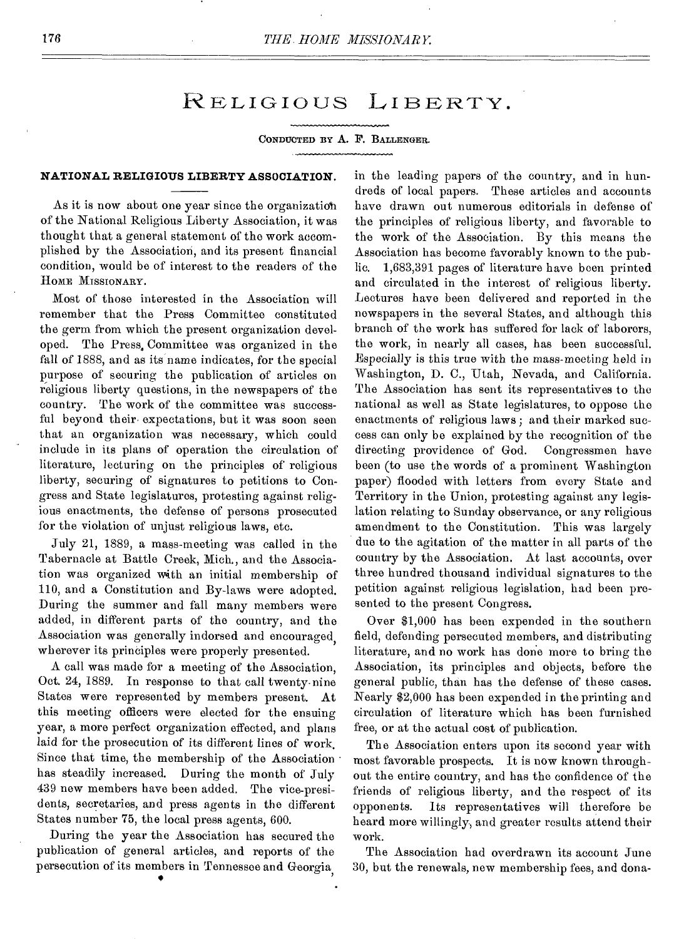### RELIGIOUS LIBERTY.

#### CONDUCTED BY A. F. BALLENGER.

#### **NATIONAL RELIGIOUS LIBERTY ASSOCIATION.**

As it is now about one year since the organization of the National Religious Liberty Association, it was thought that a general statement of the work accomplished by the Association, and its present financial condition, would be of interest to the readers of the HOME MISSIONARY.

Most of those interested in the Association will remember that the Press Committee constituted the germ from which the present organization developed. The Press. Committee was organized in the fall of 1888, and as its name indicates, for the special purpose of securing the publication of articles on religious liberty questions, in the newspapers of the country. The work of the committee was successful beyond their expectations, but it was soon seen that an organization was necessary, which could include in its plans of operation the circulation of literature, lecturing on the principles of religious liberty, securing of signatures to petitions to Congress and State legislatures, protesting against religious enactments, the defense of persons prosecuted for the violation of unjust religious laws, etc.

July 21, 1889, a mass-meeting was called in the Tabernacle at Battle Creek, Mich., and the Association was organized with an initial membership of 110, and a Constitution and By-laws were adopted. During the summer and fall many members were added, in different parts of the country, and the Association was generally indorsed and encouraged, wherever its principles were properly presented.

A call was made for a meeting of the Association, Oct. 24, 1889. In response to that call twenty-nine States were represented by members present. At this meeting officers were elected for the ensuing year, a more perfect organization effected, and plans laid for the prosecution of its different lines of work. Since that time, the membership of the Association • has steadily increased. During the month of July 439 new members have been added. The vice-presidents, secretaries, and press agents in the different States number 75, the local press agents, 600.

During the year the Association has secured the publication of general articles, and reports of the persecution of its members in Tennessee and Georgia, in the leading papers of the country, and in hundreds of local papers. These articles and accounts have drawn out numerous editorials in defense of the principles of religious liberty, and favorable to the work of the Association. By this means the Association has become favorably known to the public. 1,683,391 pages of literature have been printed and circulated in the interest of religious liberty. Lectures have been delivered and reported in the newspapers in the several States, and although this branch of the work has suffered for lack of laborers, the work, in nearly all cases, has been successful. Especially is this true with the mass-meeting held in Washington, D. C., Utah, Nevada, and California. The Association has sent its representatives to the national as well as State legislatures, to oppose the enactments of religious laws; and their marked success can only be explained by the recognition of the directing providence of God. Congressmen have been (to use the words of a prominent Washington paper) flooded with letters from every State and Territory in the Union, protesting against any legislation relating to Sunday observance, or any religious amendment to the Constitution. This was largely due to the agitation of the matter in all parts of the country by the Association. At last accounts, over three hundred thousand individual signatures to the petition against religious legislation, had been presented to the present Congress.

Over \$1,000 has been expended in the southern field, defending persecuted members, and distributing literature, and no work has done more to bring the Association, its principles and objects, before the general public, than has the defense of these cases. Nearly \$2,000 has been expended in the printing and circulation of literature which has been furnished free, or at the actual cost of publication.

The Association enters upon its second year with most favorable prospects. It is now known throughout the entire country, and has the confidence of the friends of religious liberty, and the respect of its opponents. Its representatives will therefore be heard more willingly, and greater results attend their work.

The Association had overdrawn its account June 30, but the renewals, new membership fees, and dona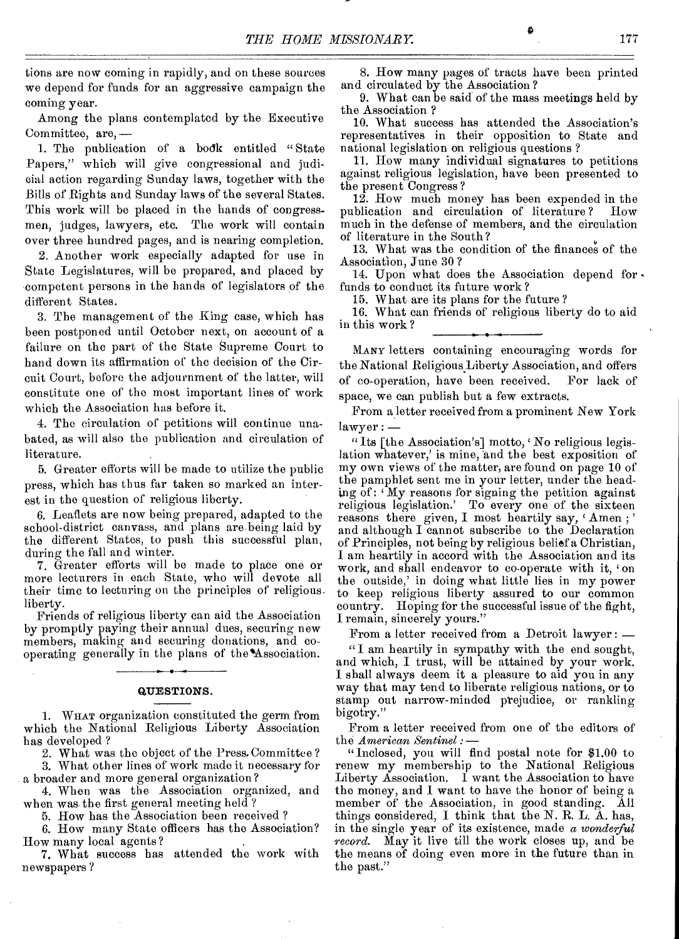tions are now coming in rapidly, and on these sources we depend for funds for an aggressive campaign the coming year.

Among the plans contemplated by the Executive Committee, are, —

1. The publication of a bodk entitled " State Papers," which will give congressional and judicial action regarding Sunday laws, together with the Bills of Rights and Sunday laws of the several States. This work will be placed in the hands of congressmen, judges, lawyers, etc. The work will contain over three hundred pages, and is nearing completion.

2. Another work especially adapted for use in State Legislatures, will be prepared, and placed by competent persons in the hands of legislators of the different States.

3. The management of the King case, which has been postponed until October next, on account of a failure on the part of the State Supreme Court to hand down its affirmation of the decision of the Circuit Court, before the adjournment of the latter, will constitute one of the most important lines of work which the Association has before it.

4. The circulation of petitions will continue unabated, as will also the publication and circulation of literature.

5. Greater efforts will be made to utilize the public press, which has thus far taken so marked an interest in the question of religious liberty.

6. Leaflets are now being prepared, adapted to the school-district canvass, and plans are being laid by the different States, to push this successful plan, during the fall and winter.

7. Greater efforts will be made to place one or more lecturers in each State, who will devote all their time to lecturing on the principles of religious. liberty.

Friends of religious liberty can aid the Association by promptly paying their annual dues, securing new members, making and securing donations, and cooperating generally in the plans of the'Association. **• • •** 

#### QUESTIONS.

1. WHAT organization constituted the germ from which the National Religious Liberty Association has developed?

2. What was the object of the Press. Committee ? 3. What other lines of work made it necessary for

a broader and more general organization?

4. When was the Association organized, and when was, the first general meeting held ?

5. How has the Association been received ?

6. How many State officers has the Association? How many local agents?

7. What success has attended the work with newspapers ?

8. How many pages of tracts have been printed and circulated by the Association ?

9. What can be said of the mass meetings held by the Association ?

10. What success has attended the Association's representatives in their opposition to State and national legislation on religious questions ?

11. How many individual signatures to petitions against religious legislation, have been presented to the present Congress ?

12. How much money has been expended in the publication and circulation of literature ? How much in the defense of members, and the circulation of literature in the South ?

13. What was the condition of the finances of the Association, June 30 ?

14. Upon what does the Association depend for. funds to conduct its future work ?

15. What are its plans for the future ?

16. What can friends of religious liberty do to aid in this work ?

MANY letters containing encouraging words for the National Religious Liberty Association, and offers of co-operation, have been received. For lack of space, we can publish but a few extracts.

From a letter received from a prominent New York lawyer : —

" Its [the Association's] motto, 'No religious legislation whatever,' is mine, and the best exposition of my own views of the matter, are found on page 10 of the pamphlet sent me in your letter, under the heading of: 'My reasons for signing the petition against religious legislation.' To every one of the sixteen reasons there given, I most heartily say, ' Amen ; ' and although I cannot subscribe to the Declaration of Principles, not being by religious belief a Christian, I am heartily in accord with the Association and its work, and shall endeavor to co-operate with it, 'on the outside,' in doing what little lies in my power to keep religious liberty assured to our common country. Hoping for the successful issue of the fight, I remain, sincerely yours."

From a letter received from a Detroit lawyer : —

" I am heartily in sympathy with the end sought, and which, I trust, will be attained by your work. I shall always deem it a pleasure to aid you in any way that may tend to liberate religious nations, or to stamp out narrow-minded prejudice, or rankling bigotry."

From a letter received from one of the editors of the *American Sentinel :* —

"Inclosed, you will find postal note for \$1.00 to renew my membership to the National Religious Liberty Association. I want the Association to have the money, and I want to have the honor of being a member of the Association, in good standing. All things considered, I think that the N. R. L. A. has, in the single year of its existence, made a *wonderful record.* May it live till the work closes up, and be the means of doing even more in the future than in the past."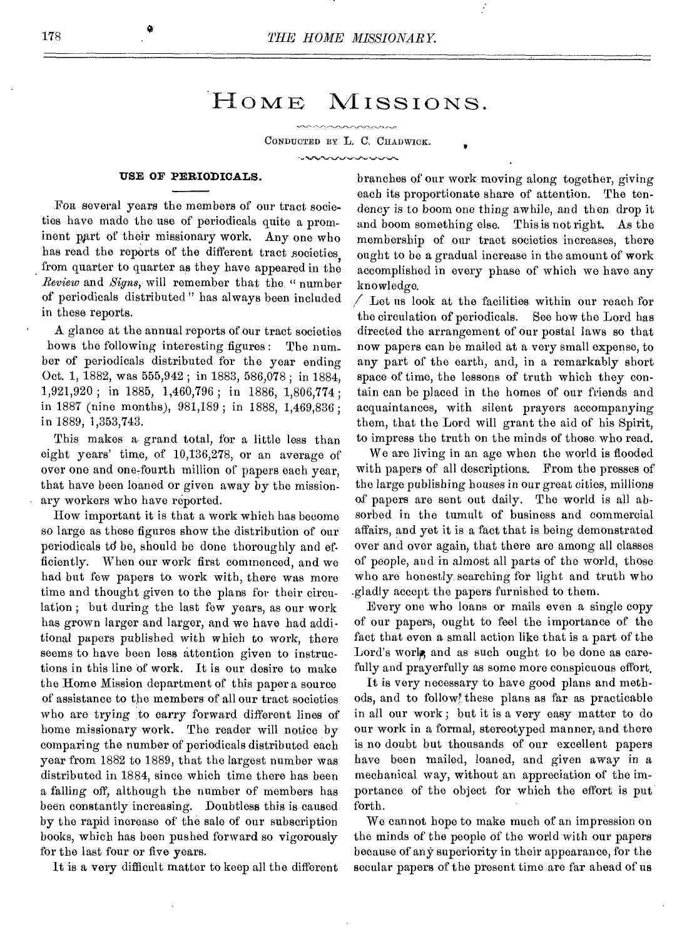## HOME MISSIONS.

CONDUCTED BY L. C. CHADWICK.

**www.coopoopoop** 

### **USE OF PERIODICALS.**

FOR several years the members of our tract societies have made the use of periodicals quite a prominent part of their missionary work. Any one who has read the reports of the different tract societies from quarter to quarter as they have appeared in the *Review* and *Signs,* will remember that the. " number of periodicals distributed " has always been included in these reports.

A glance at the annual reports of our tract societies hows the following interesting figures : The num\_ ber of periodicals distributed for the year ending Oct. 1, 1882, was 555,942 ; in 1883, 586,078 ; in 1884, 1,921,920 ; in 1885, 1,460,796 ; in 1886, 1,806,774 ; in 1887 (nine months), 981,189 ; in 1888, 1,469,836; in 1889, 1,353,743.

This makes a grand total, for a little less than eight years' time, of 10,136,278, or an average of over one and one-fourth million of papers each year, that have been loaned or given away by the missionary workers who have reported.

How important it is that a work which has become so large as these figures show the distribution of our periodicals td be, should be done thoroughly and efficiently. When our work first commenced, and we had but few papers to work with, there was more time and thought given to the plans for their circulation ; but during the last few years, as our work has grown larger and larger, and we have had additional papers published with which to work, there seems to have been less attention given to instructions in this line of work. It is our desire to make the Home Mission department of this paper a source of assistance to the members of all our tract societies who are trying to carry forward different lines of home missionary work. The reader will notice by comparing the number of periodicals distributed each year from 1882 to 1889, that the largest number was distributed in 1884, since which time there has been a falling off, although the number of members has been constantly increasing. Doubtless this is caused by the rapid increase of the sale of our subscription books, which has been pushed forward so vigorously for the last four or five years.

It is a very difficult matter to keep all the different

branches of our work moving along together, giving each its proportionate share of attention. The tendency is to boom one thing awhile, and then drop it and boom something else. This is not right. As the membership of our tract societies increases, there ought to be a gradual increase in the amount of work accomplished in every phase of which we have any knowledge.

•

 $\angle$  Let us look at the facilities within our reach for the circulation of periodicals. See how the Lord has directed the arrangement of our postal laws so that now papers can be mailed at a very small expense, to any part of the earth, and, in a remarkably short space of time, the lessons of truth which they contain can be placed in the homes of our friends and acquaintances, with silent prayers accompanying them, that the Lord will grant the aid of his Spirit, to impress the truth on the minds of those who read.

We are living in an age when the world is flooded with papers of all descriptions. From the presses of the large publishing houses in our great cities, millions of papers are sent out daily. The world is all absorbed in the tumult of business and commercial affairs, and yet it is a fact that is being demonstrated over and over again, that there are among all classes of people, and in almost all parts of the world, those who are honestly searching for light and truth who .gladly accept the papers furnished to them.

Every one who loans or mails even a single copy of our papers, ought to feel the importance of the fact that even a small action like that is a part of the Lord's work, and as such ought to be done as carefully and prayerfully as some more conspicuous effort.

It is very necessary to have good plans and methods, and to follow these plans as far as practicable in all our work ; but it is a very easy matter to do our work in a formal, stereotyped manner, and there is no doubt but thousands of our excellent papers have been mailed, loaned, and given away in a mechanical way, without an appreciation of the importance of the object for which the effort is put forth.

We cannot hope to make much of an impression on the minds of the people of the world with our papers because of any superiority in their appearance, for the secular papers of the present time are far ahead of us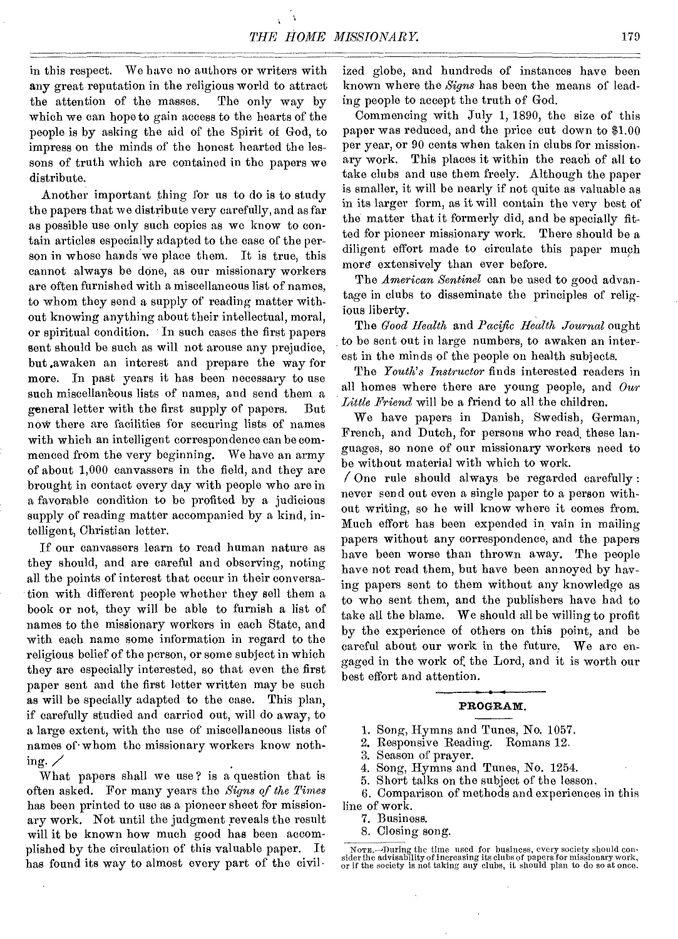in this respect. We have no authors or writers with any great reputation in the religious world to attract the attention of the masses. The only way by which we can hope to gain access to the hearts of the people is by asking the aid of the Spirit of God, to impress on the minds of the honest hearted the lessons of truth which are contained in the papers we distribute.

Another important thing for us to do is to study the papers that we distribute very carefully, and as far as possible use only such copies as we know to contain articles especially adapted to the case of the person in whose hands we place them. It is true, this cannot always be done, as our missionary workers are often furnished with a miscellaneous list of names, to whom they send a supply of reading matter without knowing anything about their intellectual, moral, or spiritual condition. In such cases the first papers sent should be such as will not arouse any prejudice, but .awaken an interest and prepare the way for more. In past years it has been necessary to use such miscellaneous lists of names, and send them a general letter with the first supply of papers. But now there are facilities for securing lists of names with which an intelligent correspondence can be commenced from the very beginning. We have an army of about 1,000 canvassers in the field, and they are brought in contact every day with people who are in a favorable condition to be profited by a judicious supply of reading matter accompanied by a kind, intelligent, Christian letter.

If our canvassers learn to read human nature as they should, and are careful and observing, noting all the points of interest that occur in their conversation with different people whether they sell them a book or not, they will be able to furnish a list of names to the missionary workers in each State, and with each name some information in regard to the religious belief of the person, or some subject in which they are especially interested, so that even the first paper sent and the first letter written may be such as will be specially adapted to the case. This plan, if carefully studied and carried out, will do away, to a large extent, with the use of miscellaneous lists of names of whom the missionary workers know nothing.  $\angle$ 

What papers shall we use? is a question that is often asked. For many years the *Signs of the Times*  has been printed to use as a pioneer sheet for missionary work. Not until the judgment reveals the result will it be known how much good has been accomplished by the circulation of this valuable paper. It has found its way to almost every part of the civil.

ized globe, and hundreds of instances have been known where the *Signs* has been the means of leading people to accept the truth of God.

Commencing with July 1, 1890, the size of this paper was reduced, and the price cut down to \$1.00 per year, or 90 cents when taken in clubs for missionary work. This places it within the reach of all to take clubs and use them freely. Although the paper is smaller, it will be nearly if not quite as valuable as in its larger form, as it will contain the very best of the matter that it formerly did, and be specially fitted for pioneer missionary work. There should be a diligent effort made to circulate this paper much more extensively than ever before.

The *American Sentinel* can be used to good advantage in clubs to disseminate the principles of religious liberty.

The *Good Health* and *Pacific Health Journal* ought to be sent out in large numbers, to awaken an interest in the minds of the people on health subjects.

The *Youth's Instructor* finds interested readers in all homes where there are young people, and *Our Little Friend* will be a friend to all the children.

We have papers in Danish, Swedish, German, French, and Dutch, for persons who read, these languages, so none of our missionary workers need to be without material with which to work.

 $\sqrt{0}$  one rule should always be regarded carefully : never send out even a single paper to a person without writing, so he will know where it comes from. Much effort has been expended in vain in mailing papers without any correspondence, and the papers have been worse than thrown away. The people have not read them, but have been annoyed by having papers sent to them without any knowledge as to who sent them, and the publishers have had to take all the blame. We should all be willing to profit by the experience of others on this point, and be careful about our work in the future. We are engaged in the work of, the Lord, and it is worth our best effort and attention.

#### PROGRAM.

1. Song, Hymns and Tunes, No. 1057.

2. Responsive Reading. Romans 12.

3. Season of prayer.

4. Song, Hymns and Tunes, No. 1254.

5. Short talks on the subject of the lesson.

6. Comparison of methods and experiences in this line of work.

7. Business.

8. Closing song.

Nora.--dluring the time used for business, every society should con-sider the advisability of increasing its clubs of papers for missionary work, or if the society is not taking any clubs, it should plan to do so at once.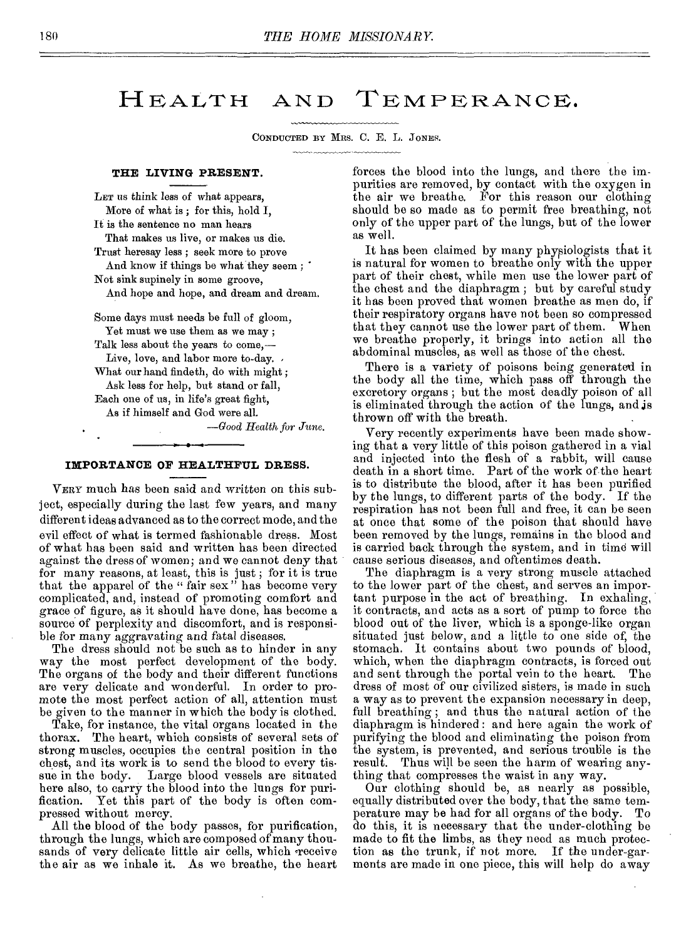## HEALTH AND TEMPERANCE.

CONDUCTED BY MRS. C. E. L. JONES.

#### **THE LIVING PRESENT.**

LET us think less of what appears, More of what is ; for this, hold I, It is the sentence no man hears That makes us live, or makes us die. Trust heresay less ; seek more to prove And know if things be what they seem : Not sink supinely in some groove, And hope and hope, and dream and dream.

Some days must needs be full of gloom, Yet must we use them as we may ; Talk less about the years to come,— Live, love, and labor more to-day. What our hand findeth, do with might ; Ask less for help, but stand or fall, Each one of us, in life's great fight, As if himself and God were all.

*—Good Health for June.* 

#### **IMPORTANCE OF HEALTHFUL DRESS.**

VERY much has been said and written on this subject, especially during the last few years, and many different ideas advanced as to the correct mode, and the evil effect of what is termed fashionable dress. Most of what has been said and written has been directed against the dress of women; and we cannot deny that for many reasons, at least, this is just ; for it is true that the apparel of the " fair sex" has become very complicated, and, instead of promoting comfort and grace of figure, as it should have done, has become a source of perplexity and discomfort, and is responsible for many aggravating and fatal diseases.

The dress should not be such as to hinder in any way the most perfect development of the body. The organs of the body and their different functions are very delicate and wonderful. In order to promote the most perfect action of all, attention must be given to the manner in which the body is clothed.

Take, for instance, the vital organs located in the thorax. The heart, which consists of several sets of strong muscles, occupies the central position in the chest, and its work is to send the blood to every tissue in the body. Large blood vessels are situated here also, to carry the blood into the lungs for puri-<br>fication. Yet this part of the body is often com-Yet this part of the body is often compressed without mercy.

All the blood of the body passes, for purification, through the lungs, which are composed of many thousands of very delicate little air cells, which receive the air as we inhale it. As we breathe, the heart

forces the blood into the lungs, and there the impurities are removed, by contact with the oxygen in the air we breathe. For this reason our clothing should be so made as to permit free breathing, not only of the upper part of the lungs, but of the lower as well.

It has been claimed by many physiologists that it is natural for women to breathe only with the upper part of their chest, while men use the lower part of the chest and the diaphragm ; but by careful study it has been proved that women breathe as men do, if their respiratory organs have not been so compressed that they cannot use the lower part of them. When we breathe properly, it brings into action all the abdominal muscles, as well as those of the chest.

There is a variety of poisons being generated in the body all the time, which pass off through the excretory organs ; but the most deadly poison of all is eliminated through the action of the lungs, and is thrown off with the breath.

Very recently experiments have been made showing that a very little of this poison gathered in a vial and injected into the flesh of a rabbit, will cause death in a short time. Part of the work of the heart is to distribute the blood, after it has been purified by the lungs, to different parts of the body. If the respiration has not been full and free, it can be seen at once that some of the poison that should have been removed by the lungs, remains in the blood and is carried back through the system, and in time will cause serious diseases, and oftentimes death.

The diaphragm is a very strong muscle attached to the lower part of the chest, and serves an important purpose in the act of breathing. In exhaling, it contracts, and acts as a sort of pump to force the blood out of the liver, which is a sponge-like organ situated just below, and a little to one side of, the stomach. It contains about two pounds of blood, which, when the diaphragm contracts, is forced out and sent through the portal vein to the heart. The dress of most of our civilized sisters, is made in such a way as to prevent the expansion necessary in deep, full breathing; and thus the natural action of the diaphragm is hindered : and here again the work of purifying the blood and eliminating the poison from the system, is prevented, and serious trouble is the result. Thus will be seen the harm of wearing anything that compresses the waist in any way.

Our clothing should be, as nearly as possible, equally distributed over the body, that the same temperature may be had for all organs of the body. To do this, it is necessary that the under-clothing be made to fit the limbs, as they need as much protection as the trunk, if not more. If the under-garments are made in one piece, this will help do away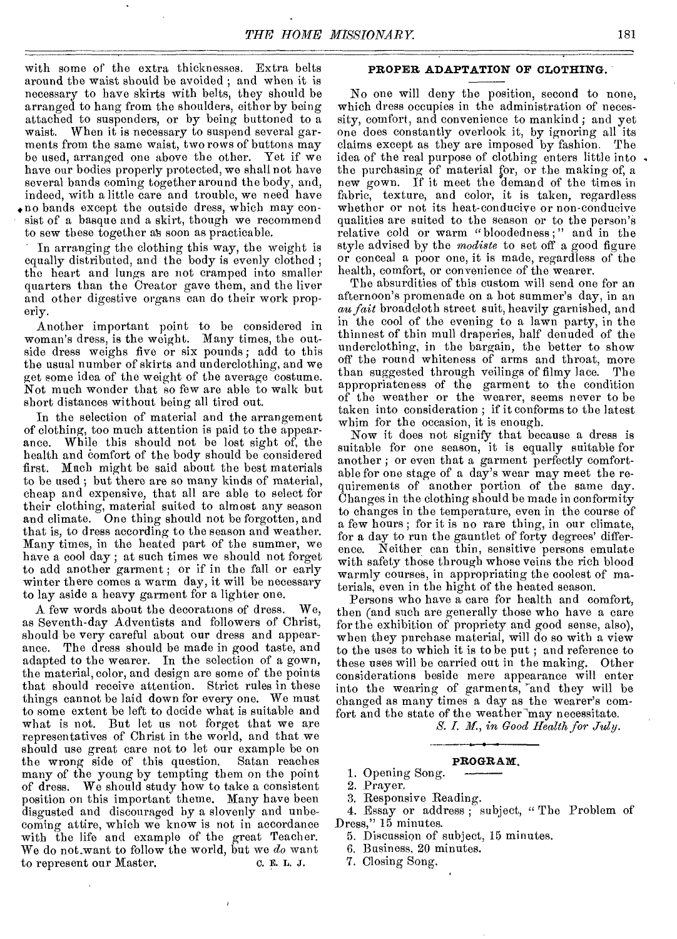with some of the extra thicknesses. Extra belts around the waist should be avoided ; and when it is necessary to have skirts with belts, they should be arranged to hang from the shoulders, either by being attached to suspenders, or by being buttoned to a waist. When it is necessary to suspend several garments from the same waist, two rows of buttons may be used, arranged one above the other. Yet if we have our bodies properly protected, we shall not have several bands coming together around the body, and, indeed, with a little care and trouble, we need have ♦no bands except the outside dress, which may consist of a basque and a skirt, though we recommend to sew these together as soon as practicable.

In arranging the clothing this way, the weight is equally distributed, and the body is evenly clothed ; the heart and lungs are not cramped into smaller quarters than the Creator gave them, and the liver and other digestive organs can do their work properly.

Another important point to be considered in woman's dress, is the weight. Many times, the outside dress weighs five or six pounds; add to this the usual number of skirts and underclothing, and we get some idea of the weight of the average costume. Not much wonder that so few are able to walk but short distances without being all tired out.

In the selection of material and the arrangement of clothing, too much attention is paid to the appearance. While this should not be lost sight of, the health and comfort of the body should be considered first. Much might be said about the best materials to be used ; but there are so many kinds of material, cheap and expensive, that all are able to select for their clothing, material suited to almost any season and climate. One thing should not be forgotten, and that is, to dress according to the season and weather. Many times, in the heated part of the summer, we have a cool day ; at such times we should not forget to add another garment ; or if in the fall or early winter there comes a warm day, it will be necessary to lay aside a heavy garment for a lighter one.

A few words about the decorations of dress. We, as Seventh-day Adventists and followers of Christ, should be very careful about our dress and appearance. The dress should be made in good taste, and adapted to the wearer. In the selection of a gown, the material, color, and design are some of the points that should receive attention. Strict rules in these things cannot be laid down for every one. We must to some extent be left to decide what is suitable and what is not. But let us not forget that we are representatives of Christ in the world, and that we should use great care not to let our example be on<br>the wrong side of this question. Satan reaches the wrong side of this question. many of the young by tempting them on the point of dress. We should study how to take a consistent position on this important theme. Many have been disgusted and discouraged by a slovenly and unbecoming attire, which we know is not in accordance with the life and example of the great Teacher. We do not want to follow the world, but we *do* want<br>to represent our Master, c. E. L. J. to represent our Master.

#### **PROPER ADAPTATION OF CLOTHING.**

No one will deny the position, second to none, which dress occupies in the administration of necessity, comfort, and convenience to mankind ; and yet one does constantly overlook it, by ignoring all its claims except as they are imposed by fashion. The idea of the real purpose of clothing enters little into the purchasing of material for, or the making of, a new gown. If it meet the demand of the times in fabric, texture, and color, it is taken, regardless whether or not its heat-conducive or non-conducive qualities are suited to the season or to the person's relative cold or warm "bloodedness;" and in the style advised by the *modiste* to set off a good figure or conceal a poor one, it is made, regardless of the health, comfort, or convenience of the wearer.

The absurdities of this custom will send one for an afternoon's promenade on a hot summer's day, in an au *fait* broadcloth street suit, heavily garnished, and in the cool of the evening to a lawn party, in the thinnest of thin mull draperies, half denuded of the underclothing, in the bargain, the better to show off the round whiteness of arms and throat, more than suggested through veilings of filmy lace. The appropriateness of the garment to the condition of the weather or the wearer, seems never to be taken into consideration ; if it conforms to the latest whim for the occasion, it is enough.

Now it does not signify that because a dress is suitable for one season, it is equally suitable for another ; or even that a garment perfectly comfortable for one stage of a day's wear may meet the requirements of another portion of the same day. Changes in the clothing should be made in conformity to changes in the temperature, even in the course of a few hours ; for it is no rare thing, in our climate, for a day to run the gauntlet of forty degrees' difference. Neither can thin, sensitive persons emulate with safety those through whose veins the rich blood warmly courses, in appropriating the coolest of materials, even in the hight of the heated season.

Persons who have a care for health and comfort, then (and such are generally those who have a care for the exhibition of propriety and good sense, also), when they purchase material, will do so with a view to the uses to which it is to be put ; and reference to these uses will be carried out in the making. Other considerations beside mere appearance will enter into the wearing of garments, 'and they will be changed as many times a day as the wearer's comfort and the state of the weather may necessitate.

*S. I. M, in Good Health for July.* 

#### **PROGRAM.**

1. Opening Song.

2. Prayer.

3. Responsive Reading.

4. Essay or address ; subject, " The Problem of Dress," 15 minutes.

- 5. Discussion of subject, 15 minutes.
- 6. Business, 20 minutes.
- 7. Closing Song.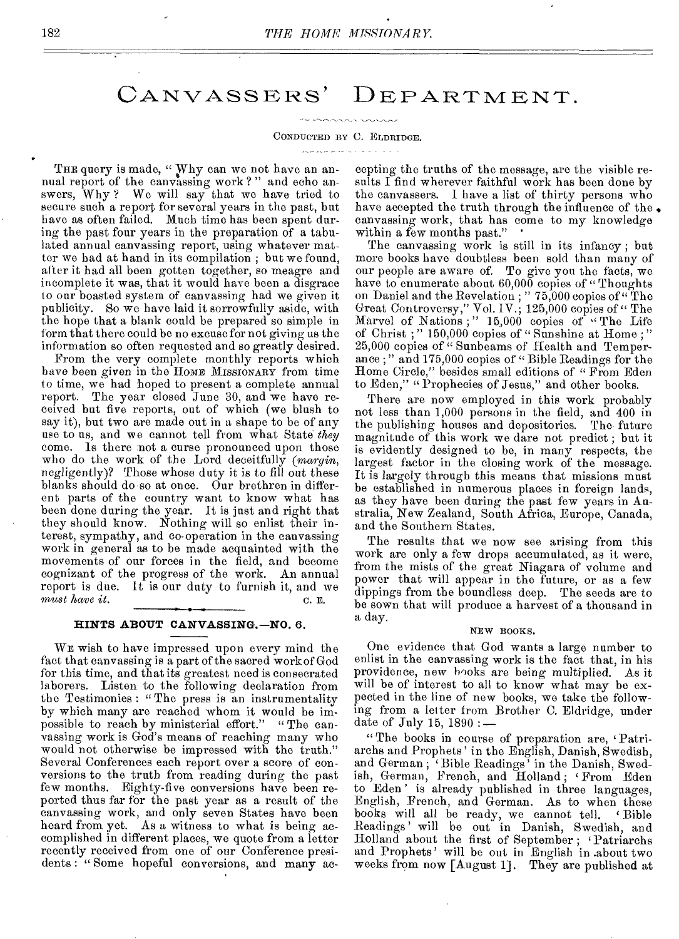## CANVASSERS' DEPARTMENT.

#### CONDUCTED BY C. ELDRIDGE.

THE query is made, "Why can we not have an annual report of the canvassing work ? " and echo answers, Why ? We will say that we have tried to secure such a report for several years in the past, but have as often failed. Much time has been spent during the past four years in the preparation of a tabulated annual canvassing report, using whatever matter we had at hand in its compilation ; but we found, after it had all been gotten together, so meagre and incomplete it was, that it would have been a disgrace to our boasted system of canvassing had we given it publicity. So we have laid it sorrowfully aside, with the hope that a blank could be prepared so simple in form that there could be no excuse for not giving us the information so often requested and so greatly desired.

From the very complete monthly reports which have been given in the HOME MISSIONARY from time to time, we had hoped to present a complete annual report. The year closed June 30, and we have received but five reports, out of which (we blush to say it), but two are made out in a shape to be of any use to us, and we cannot tell from what State *they*  come. Is there not a curse pronounced upon those who do the work of the Lord deceitfully *(margin,*  negligently)? Those whose duty it is to fill out these blanks should do so at once. Our brethren in different parts of the country want to know what has been done during the year. It is just and right that they should know. Nothing will so enlist their interest, sympathy, and co-operation in the canvassing work in general as to be made acquainted with the movements of our forces in the field, and become cognizant of the progress of the work. An annual report is due. It is our duty to furnish it, and we *must have it.* C. E.

#### **HINTS ABOUT CANVASSING.—NO.** 6.

WE wish to have impressed upon every mind the fact that canvassing is a part of the sacred work of God for this time, and that its greatest need is consecrated laborers. Listen to the following declaration from the Testimonies : " The press is an instrumentality by which many are reached whom it would be impossible to reach by ministerial effort." " The canvassing work is God's means of reaching many who would not otherwise be impressed with the truth." Several Conferences each report over a score of conversions to the truth from reading during the past few months. Eighty-five conversions have been reported thus far for the past year as a result of the canvassing work, and only seven States have been heard from yet. As a witness to what is being accomplished in different places, we quote from a letter recently received from one of our Conference presidents : "Some hopeful conversions, and many accepting the truths of the message, are the visible results I find wherever faithful work has been done by the canvassers. 1 have a list of thirty persons who have accepted the truth through the influence of the. canvassing work, that has come to my knowledge within a few months past."

The canvassing work is still in its infancy ; but more books have doubtless been sold than many of our people are aware of. To give you the facts, we have to enumerate about 60,000 copies of "Thoughts on Daniel and the Revelation ; " 75,000 copies of "The Great Controversy," Vol. IV.; 125,000 copies of "The Marvel of Nations;" 15,000 copies of "The Life of Christ ; " 150,000 copies of " Sunshine at Home ; " 25,000 copies of " Sunbeams of Health and Temperance ; " and 175,000 copies of " Bible Readings for the Home Circle," besides small editions of " From Eden to Eden," " Prophecies of Jesus," and other books.

There are now employed in this work probably not less than 1,000 persons in the field, and 400 in the publishing houses and depositories. The future magnitude of this work we dare not predict ; but it is evidently designed to be, in many respects, the largest factor in the closing work of the message. It is largely through this means that missions must be established in numerous places in foreign lands, as they have been during the past few years in Australia, New Zealand, South Africa, Europe, Canada, and the Southern States.

The results that we now see arising from this work are only a few drops accumulated, as it were, from the mists of the great Niagara of volume and power that will appear in the future, or as a few dippings from the boundless deep. The seeds are to be sown that will produce a harvest of a thousand in a day.

#### NEW BOOKS.

One evidence that God wants a large number to enlist in the canvassing work is the fact that, in his providence, new hooks are being multiplied. As it providence, new hooks are being multiplied. will be of interest to all to know what may be expected in the line of new books, we take the following from a letter from Brother C. Eldridge, under date of July 15, 1890 :—

"The books in course of preparation are, 'Patriarchs and Prophets' in the English, Danish, Swedish, and German ; ' Bible Readings' in the Danish, Swedish, German, French, and Holland ; From Eden to Eden ' is already published in three languages, English, French, and German. As to when these books will all be ready, we cannot tell. ' Bible Readings' will be out in Danish, Swedish, and Holland about the first of September ; 'Patriarchs and Prophets' will be out in English in .about two weeks from now [August 1]. They are published at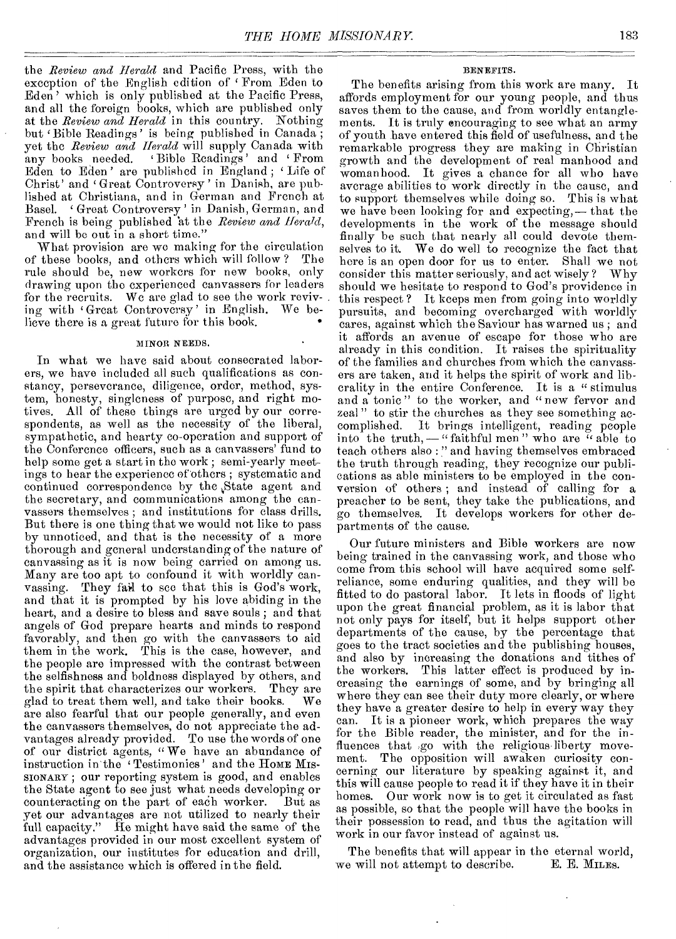the *Review and Herald* and Pacific Press, with the exception of the English edition of 'From Eden to Eden' which is only published at the Pacific Press, and all the foreign books, which are published only at the *Review and Herald* in this country. Nothing but 'Bible Readings' is being published in Canada; yet the *Review and Herald* will supply Canada with any books needed. 'Bible Readings' and 'From<br>Eden to Eden' are published in England; 'Life of at the *Review and Herald* In this country. Rooming<br>but 'Bible Readings' is being published in Canada;<br>yet the *Review and Herald* will supply Canada with<br>any books needed. 'Bible Readings' and 'From<br>Eden to Eden' are publ lished at Christiana, and in German and French at Basel. Great Controversy' in Danish, German, and French is being published 'at the *Review and Herald,*  and will be out in a short time."

What provision are we making for the circulation<br>these books, and others which will follow? The of these books, and others which will follow? rule should be, new workers for new books, only drawing upon the experienced canvassers for leaders for the recruits. We are glad to see the work reviving with Great Controversy' in English. We believe there is a great future for this book. •

#### MINOR NEEDS.

In what we have said about consecrated laborers, we have included all such qualifications as constancy, perseverance, diligence, order, method, system, honesty, singleness of purpose, and right motives. All of these things are urged by our correspondents, as well as the necessity of the liberal, sympathetic, and hearty co-operation and support of the Conference officers, such as a canvassers' fund to help some get a start in the work ; semi-yearly meetings to hear the experience of others ; systematic and continued correspondence by the State agent and the secretary, and communications among the canvassers themselves ; and institutions for class drills. But there is one thing that we would not like to pass by unnoticed, and that is the necessity of a more thorough and general understanding of the nature of canvassing as it is now being carried on among us. Many are too apt to confound it with worldly canvassing. They fail to see that this is God's work, and that it is prompted by his love abiding in the heart, and a desire to bless and save souls ; and that angels of God prepare hearts and minds to respond favorably, and then go with the canvassers to aid them in the work. This is the case, however, and the people are impressed with the contrast between the selfishness and boldness displayed by others, and the spirit that characterizes our workers. They are glad to treat them well, and take their books. We glad to treat them well, and take their books. are also fearful that our people generally, and even the canvassers themselves, do not appreciate the advantages already provided. To use the words of one of our district agents, " We have an abundance of instruction in the ' Testimonies' and the HOME MIs-SIONARY ; our reporting system is good, and enables the State agent to see just what needs developing or<br>counteracting on the part of each worker. But as counteracting on the part of each worker. yet our advantages are not utilized to nearly their full capacity." He might have said the same of the advantages provided in our most excellent system of organization, our institutes for education and drill, and the assistance which is offered in the field.

#### BENEFITS.

The benefits arising from this work are many. It affords employment for our young people, and thus saves them to the cause, and from worldly entanglements. It is truly encouraging to see what an army of youth have entered this field of usefulness, and the remarkable progress they are making in Christian growth and the development of real manhood and womanhood. It gives a chance for all who have average abilities to work directly in the cause, and to support themselves while doing so. This is what we have been looking for and expecting,— that the developments in the work of the message should finally be such that nearly all could devote themselves to it. We do well to recognize the fact that here is an open door for us to enter. Shall we not consider this matter seriously, and act wisely? Why should we hesitate to respond to God's providence in this respect ? It keeps men from going into worldly pursuits, and becoming overcharged with worldly cares, against which the Saviour has warned us ; and it affords an avenue of escape for those who are already in this condition. It raises the spirituality of the families and churches from which the canvassers are taken, and it helps the spirit of work and liberality in the entire Conference. It is a " stimulus and a tonic" to the worker, and "new fervor and zeal" to stir the churches as they see something accomplished. It brings intelligent, reading people into the truth, — " faithful men " who are " able to teach others also : " and having themselves embraced the truth through reading, they recognize our publications as able ministers to be employed in the conversion of others ; and instead of calling for a preacher to be sent, they take the publications, and go themselves. It develops workers for other departments of the cause.

Our future ministers and Bible workers are now being trained in the canvassing work, and those who come from this school will have acquired some selfreliance, some enduring qualities, and they will be fitted to do pastoral labor. It lets in floods of light upon the great financial problem, as it is labor that not only pays for itself, but it helps support other departments of the cause, by the percentage that goes to the tract societies and the publishing houses, and also by increasing the donations and tithes of the workers. This latter effect is produced by increasing the earnings of some, and by bringing all where they can see their duty more clearly, or where they have a greater desire to help in every way they can. It is a pioneer work, which prepares the way for the Bible reader, the minister, and for the influences that go with the religious liberty movement. The opposition will awaken curiosity concerning our literature by speaking against it, and this will cause people to read it if they have it in their homes. Our work now is to get it circulated as fast as possible, so that the people will have the books in their possession to read, and thus the agitation will work in our favor instead of against us.

The benefits that will appear in the eternal world,<br>a will not attempt to describe. E. E. MILES. we will not attempt to describe.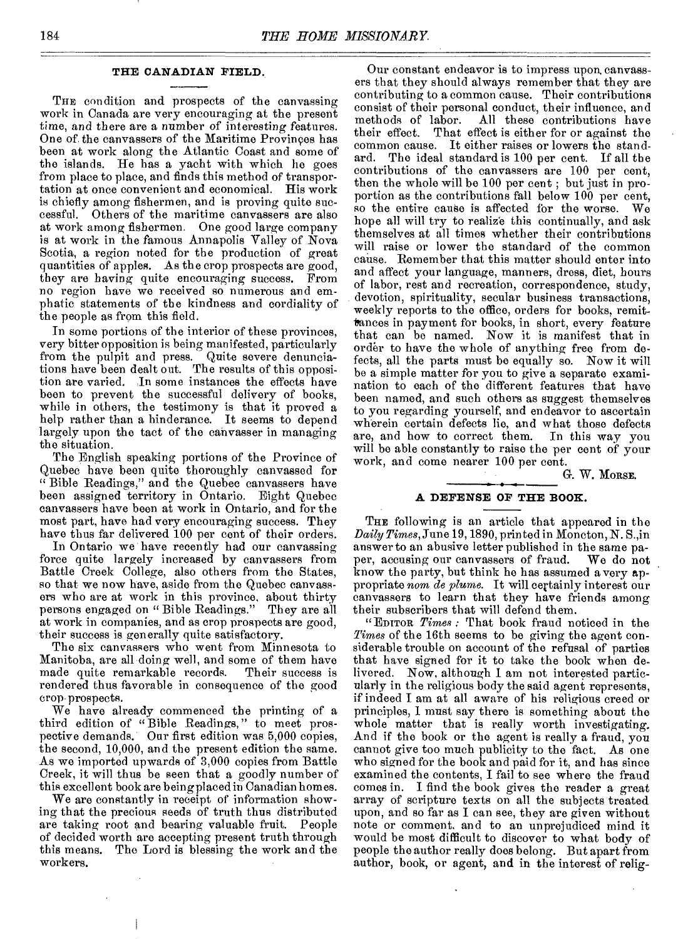#### **THE CANADIAN FIELD.**

THE condition and prospects of the canvassing work in Canada are very encouraging at the present time, and there are a number of interesting features. One of the canvassers of the Maritime Provinces has been at work along the Atlantic Coast and some of the islands. He has a yacht with which he goes from place to place, and finds this method of transportation at once convenient and economical. His work is chiefly among fishermen, and is proving quite successful. Others of the maritime canvassers are also at work among fishermen. One good large company is at work in the famous Annapolis Valley of Nova Scotia, a region noted for the production of great quantities of apples. As the crop prospects are good, they are having quite encouraging success. From no region have we received so numerous and emphatic statements of the kindness and cordiality of the people as from this field.

In some portions of the interior of these provinces, very bitter opposition is being manifested, particularly from the pulpit and press. Quite severe denunciations have been dealt out. The results of this opposition are varied. In some instances the effects have been to prevent the successful delivery of books, while in others, the testimony is that it proved a help rather than a hinderance. It seems to depend largely upon the tact of the canvasser in managing the situation.

The English speaking portions of the Province of Quebec have been quite thoroughly canvassed for "Bible Readings," and the Quebec canvassers have been assigned territory in Ontario. Eight Quebec canvassers have been at work in Ontario, and for the most part, have had very encouraging success. They have thus far delivered 100 per cent of their orders.

In Ontario we have recently bad our canvassing force quite largely increased by canvassers from Battle Creek College, also others from the States, so that we now have, aside from the Quebec canvassers who are at work in this province, about thirty persons engaged on "Bible Readings." They are all at work in companies, and as crop prospects are good, their success is generally quite satisfactory.

The six canvassers who went from Minnesota to Manitoba, are all doing well, and some of them have made quite remarkable records. rendered thus favorable in consequence of the good crop prospects.

We have already commenced the printing of a third edition of "Bible Readings," to meet prospective demands. Our first edition was 5,000 copies, the second, 10,000, and the present edition the same. As we imported upwards of 3,000 copies from Battle Creek, it will thus be seen that a goodly number of this excellent book are being placed in Canadian homes.

We are constantly in receipt of information showing that the precious seeds of truth thus distributed are taking root and bearing valuable fruit. People of decided worth are accepting present truth through this means. The Lord is blessing the work and the workers.

Our constant endeavor is to impress upon, canvassers that they should always remember that they are contributing to a common cause. Their contributions consist of their personal conduct, their influence, and methods of labor. All these contributions have<br>their effect. That effect is either for or against the That effect is either for or against the common cause. It either raises or lowers the stand-<br>ard. The ideal standard is 100 per cent. If all the The ideal standard is 100 per cent. If all the contributions of the canvassers are 100 per cent, then the whole will be 100 per cent ; but just in proportion as the contributions fall below 100 per cent, so the entire cause is affected for the worse. We so the entire cause is affected for the worse. hope all will try to realize this continually, and ask themselves at all times whether their contributions will raise or lower the standard of the common cause. Remember that this matter should enter into and affect your language, manners, dress, diet, hours of labor, rest and recreation, correspondence, study, devotion, spirituality, secular business transactions, weekly reports to the office, orders for books, remittances in payment for books, in short, every feature that can be named. Now it is manifest that in order to have the whole of anything free from defects, all the parts must be equally so. Now it will be a simple matter for you to give a separate examination to each of the different features that have been named, and such others as suggest themselves to you regarding yourself, and endeavor to ascertain wherein certain defects lie, and what those defects are, and how to correct them. In this way you are, and how to correct them. will be able constantly to raise the per cent of your work, and come nearer 100 per cent.

G. W. MORSE.

#### **A DEFENSE OF THE BOOK.**

THE following is an article that appeared in the *Daily Times,* June 19, 1890, printed in Moncton, N. S.,in answer to an abusive letter published in the same paper, accusing our canvassers of fraud. We do not per, accusing our canvassers of fraud. know the party, but think he has assumed a very appropriate *nom de plume.* It will certainly interest our canvassers to learn that they have friends among their subscribers that will defend them.

"EDITOR *Times :* That book fraud noticed in the *Times* of the 16th seems to be giving the agent considerable trouble on account of the refusal of parties that have signed for it to take the book when delivered. Now, although I am not interested particularly in the religious body the said agent represents, if indeed I am at all aware of his religious creed or principles, I must say there is something about the whole matter that is really worth investigating. And if the book or the agent is really a fraud, you cannot give too much publicity to the fact. As one who signed for the book and paid for it, and has since examined the contents, I fail to see where the fraud comes in. I find the book gives the reader a great array of scripture texts on all the subjects treated upon, and so far as I can see, they are given without note or comment, and to an unprejudiced mind it would be most difficult to discover to what body of people the author really does belong. But apart from author, book, or agent, and in the interest of relig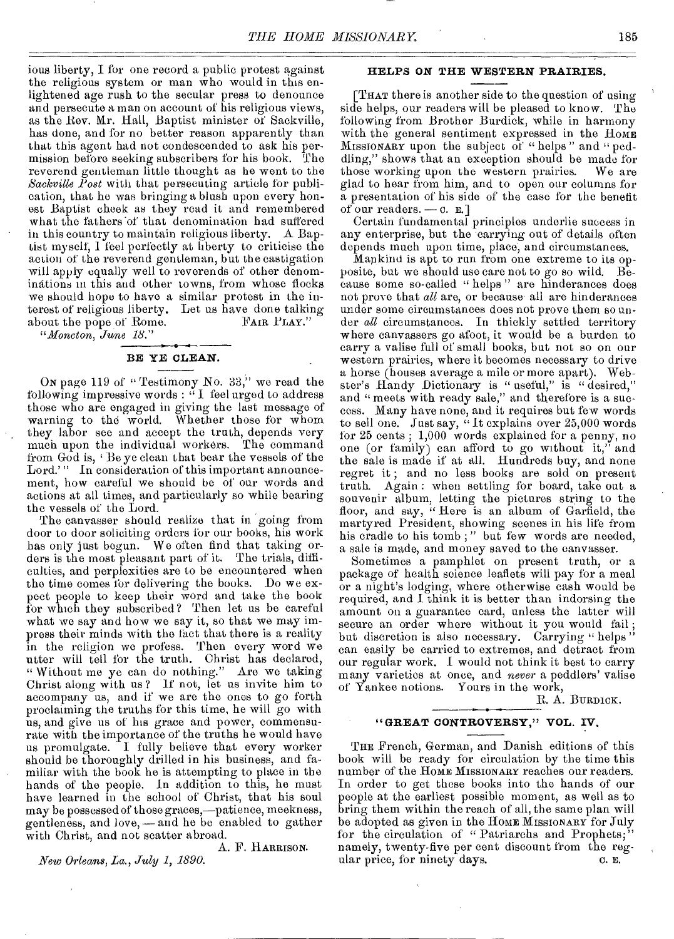ions liberty, I for one record a public protest against the religious system or man who would in this enlightened age rush to the secular press to denounce and persecute a man on account of his religious views, as the Rev. Mr. Hall, Baptist minister of Sackville, has done, and for no better reason apparently than that this agent had not condescended to ask his permission before seeking subscribers for his book. The reverend gentleman little thought as he went to the *Sackville Post* with that persecuting article for publication, that he was bringing a blush upon every honest Baptist cheek as they read it and remembered what the fathers'of that denomination had suffered in this country to maintain religious liberty. A Baptist myself, 1 feel perfectly at liberty to criticise the action of the reverend gentleman, but the castigation will apply equally well to reverends of other denominations in this and other towns, from whose flocks we should hope to have a similar protest in the interest of religious liberty. Let us have done talking about the pope of Rome. FAIR PLAY."

*"Moncton, June 18."* 

#### BE YE CLEAN.

ON page 119 of " Testimony No. 33," we read the following impressive words : " I feel urged to address those who are engaged in giving the last message of warning to the world. Whether those for whom they labor see and accept the truth, depends very much upon the individual workers. The command from God is, 'Be ye clean that bear the vessels of the Lord.'" In consideration of this important announcement, how careful we should be of our words and actions at all times, and particularly so while bearing the vessels of the Lord.

The canvasser should realize that in going from door to door soliciting orders for our books, his work has only just begun. We often find that taking orders is the most pleasant part of it. The trials, difficulties, and perplexities are to be encountered when the time comes for delivering the books. Do we expect people to keep their word and take the book for which they subscribed? Then let us be careful what we say and how we say it, so that we may impress their minds with the fact that there is a reality in the religion we profess. Then every word we utter will tell for the truth. Christ has declared, " Without me ye can do nothing." Are we taking Christ along with us ? If not, let us invite him to accompany us, and if we are the ones to go forth proclaiming the truths for this time, he will go with us, and give us of his grace and power, commensurate with the importance of the truths he would have us promulgate. I fully believe that every worker should be thoroughly drilled in his business, and familiar with the book he is attempting to place in the hands of the people. in addition to this, he must have learned in the school of Christ, that his soul may be possessed of those graces,—patience, meekness, gentleness, and love, — and he be enabled to gather with Christ, and not scatter abroad.

A. F. HARRISON. *New Orleans, La., July 1, 1890.* 

#### HELPS ON THE WESTERN PRAIRIES.

[THAT there is another side to the question of using side helps, our readers will be pleased to know. The following from Brother Burdick, while in harmony with the general sentiment expressed in the HOME MISSIONARY upon the subject of " helps " and " peddling," shows that an exception should be made for<br>those working upon the western prairies. We are those working upon the western prairies. glad to hear from him, and to open our columns for a presentation of his side of the case for the benefit of our readers. —  $c. \nE.$ ]

Certain fundamental principles underlie success in any enterprise, but the carrying out of details often depends much upon time, place; and circumstances.

Mankind is apt to run from one extreme to its opposite, but we should use care not to go so wild. Because some so-called " helps " are hinderances does not prove that *all* are, or because all are hinderances under some circumstances does not prove them so under *all* circumstances. In thickly settled territory where canvassers go afoot, it would be a burden to carry a valise full of small books, but not so on our western prairies, where it becomes necessary to drive a horse (houses average a mile or more apart). Webster's Handy Dictionary is " useful," is " desired," and " meets with ready sale," and therefore is a success. Many have none, and it requires but few words to sell one. Just say, " It explains over 25,000 words for 25 cents ; 1,000 words explained for a penny, no one (or family) can afford to go without it," and the sale is made if at all. Hundreds buy, and none regret it ; and no less books are sold on present truth. Again : when settling for board, take out a souvenir album, letting the pictures string to the floor, and say, " Here is an album of Garfield, the martyred President, showing scenes in his life from his cradle to his tomb ; " but few words are needed, a sale is made, and money saved to the canvasser.

Sometimes a pamphlet on present truth, or a package of health science leaflets will pay for a meal or a night's lodging, where otherwise cash would be required, and I think it is better than indorsing the amount on a guarantee card, unless the latter will secure an order where without it you would fail ; but discretion is also necessary. Carrying " helps " can easily be carried to extremes, and detract from our regular work. I would not think it best to carry many varieties at once, and *never* a peddlers' valise of Yankee notions. Yours in the work,

R. A. BURDICK.

#### "GREAT CONTROVERSY," VOL. IV.

THE French, German, and Danish editions of this book will be ready for circulation by the time this number of the HOME MISSIONARY reaches our readers. In order to get these books into the hands of our people at the earliest possible moment, as well as to bring them within the reach of all, the same plan will be adopted as given in the HOME MISSIONARY for July for the circulation of "Patriarchs and Prophets, namely, twenty-five per cent discount from the regular price, for ninety days.  $\qquad \qquad \text{o. } \mathbf{E}.$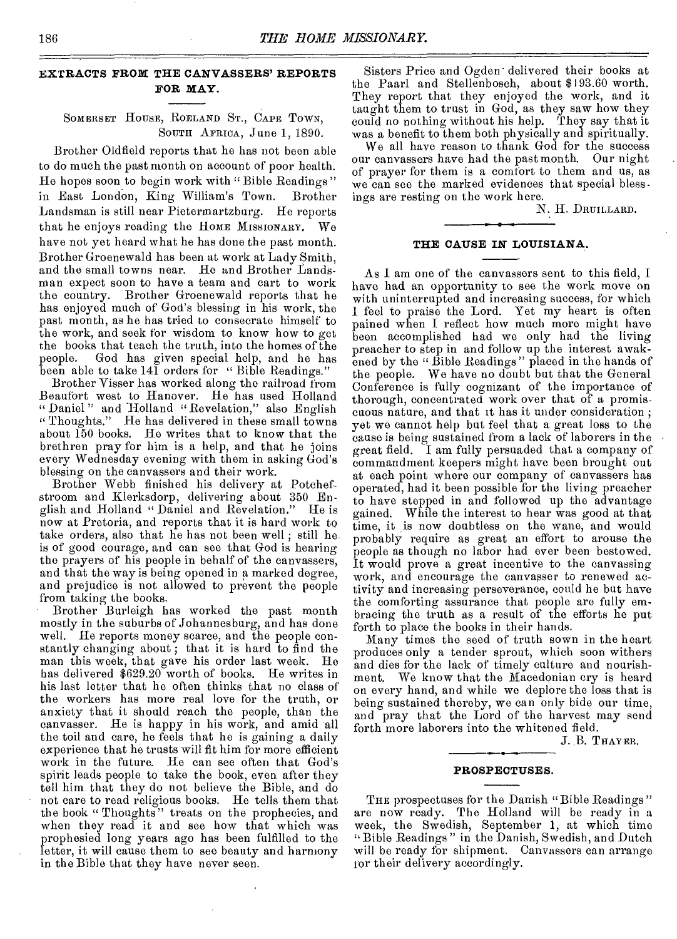### EXTRACTS FROM THE CANVASSERS' REPORTS FOR MAY.

#### SOMERSET HOUSE, BORLAND ST., CAPE TOWN, SOUTH AFRICA, June 1, 1890.

Brother Oldfield reports that he has not been able to do much the past month on account of poor health. He hopes soon to begin work with "Bible Readings" in East London, King William's Town. Brother Landsman is still near Pietermartzburg. He reports that he enjoys reading the HOME MISSIONARY. We have not yet heard what he has done the past month. Brother Groenewald has been at work at Lady Smith, and the small towns near. He and Brother Landsman expect soon to have a team and cart to work the country. Brother Groenewald reports that he has enjoyed much of God's blessing in his work, the past month, as he has tried to consecrate himself to the work, and seek for wisdom to know bow to get the books that teach the truth, into the homes of the people. God has given special help, and he has been able to take 141 orders for "Bible Readings."

Brother Visser has worked along the railroad from Beaufort west to Hanover. He has used Holland " Daniel " and Holland "Revelation," also English " Thoughts." He has delivered in these small towns about 150 books. He writes that to know that the brethren pray for him is a help, and that he joins every Wednesday evening with them in asking God's blessing on the canvassers and their work.

Brother Webb finished his delivery at Potchefstroom and Klerksdorp, delivering about 350 English and Holland " Daniel and Revelation." now at Pretoria, and reports that it is hard work to take orders, also that he has not been well ; still he is of good courage, and can see that God is hearing the prayers of his people in behalf of the canvassers, and that the way is being opened in a marked degree, and prejudice is not allowed to prevent the people from taking the books.

Brother Burleigh has worked the past month mostly in the suburbs of Johannesburg, and has done well. He reports money scarce, and the people constantly changing about; that it is hard to find the man this week, that gave his order last week. He has delivered \$629.20 worth of books. He writes in his last letter that he often thinks that no class of the workers has more real love for the truth, or anxiety that it should reach the people, than the canvasser. He is happy in his work, and amid all the toil and care, he feels that he is gaining a daily experience that he trusts will fit him for more efficient work in the future. He can see often that God's spirit leads people to take the book, even after they tell him that they do not believe the Bible, and do not care to read religious books. He tells them that the book " Thoughts" treats on the prophecies, and when they read it and see how that which was prophesied long years ago has been fulfilled to the letter, it will cause them to see beauty and harmony in the Bible that they have never seen.

Sisters Price and Ogden • delivered their books at the Paarl and Stellenbosch, about \$193.60 worth. They report that they enjoyed the work, and it taught them to trust in God, as they saw how they could no nothing without his help. They say that it was a benefit to them both physically and spiritually.

We all have reason to thank God for the success our canvassers have had the past month. Our night of prayer for them is a comfort to them and us, as we can see the marked evidences that special blessings are resting on the work here.

N. H. DRUILLARD.

#### THE CAUSE IN LOUISIANA.

As 1 am one of the canvassers sent to this field, I have had an opportunity to see the work move on with uninterrupted and increasing success, for which 1 feel to praise the Lord. Yet my heart is often pained when I reflect how much more might have been accomplished had we only had the living preacher to step in and follow up the interest awakened by the " Bible Readings " placed in the hands of the people. We have no doubt but that the General Conference is fully cognizant of the importance of thorough, concentrated work over that of a promiscuous nature, and that it has it under consideration ; yet we cannot help but feel that a great loss to the cause is being sustained from a lack of laborers in the great field. I am fully persuaded that a company of commandment keepers might have been brought out at each point where our company of canvassers has operated, had it been possible for the living preacher to have stepped in and followed up the advantage gained. While the interest to hear was good at that time, it is now doubtless on the wane, and would probably require as great an effort to arouse the people as though no labor had ever been bestowed. It would prove a great incentive to the canvassing work, and encourage the canvasser to renewed activity and increasing perseverance, could he but have the comforting assurance that people are fully embracing the truth as a result of the efforts he put forth to place the books in their hands.

Many times the seed of truth sown in the heart produces only a tender sprout, which soon withers and dies for the lack of timely culture and nourishment. We know that the Macedonian cry is heard on every hand, and while we deplore the loss that is being sustained thereby, we can only bide our time, and pray that the Lord of the harvest may send forth more laborers into the whitened field.

J. B. THAYER.

#### PROSPECTUSES.

THE prospectuses for the Danish "Bible Readings" are now ready. The Holland will be ready in a week, the Swedish, September 1, at which time " Bible Readings " in the Danish, Swedish, and Dutch will be ready for shipment. Canvassers can arrange for their delivery accordingly.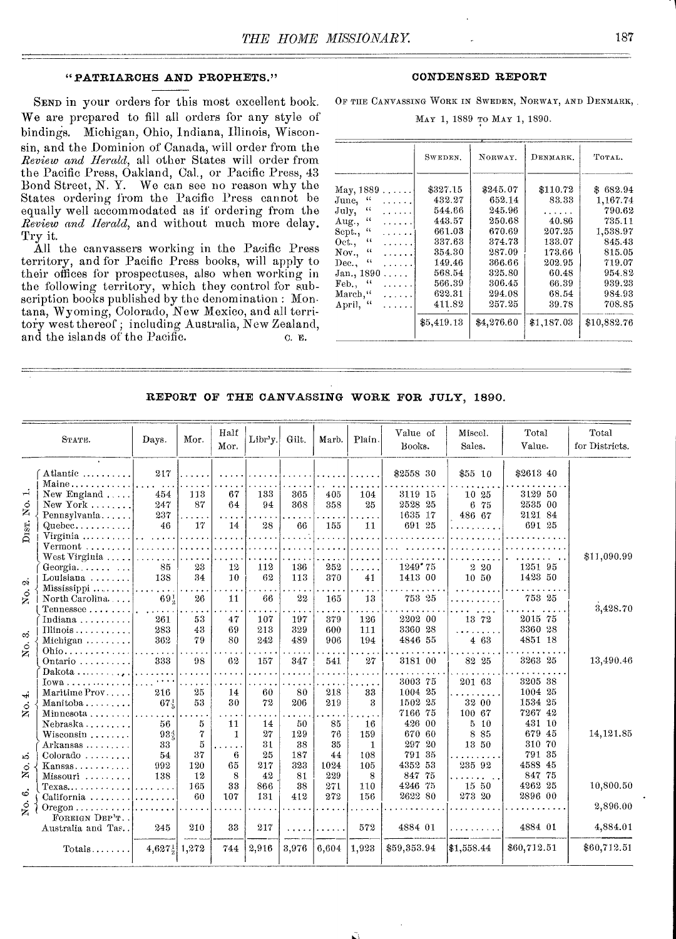#### "PATRIARCHS AND PROPHETS."

SEND in your orders for this most excellent book. We are prepared to fill all orders for any style of bindings. Michigan, Ohio, Indiana, Illinois, Wisconsin, and the Dominion of Canada, will order from the *Review and Herald,* all other States will order from the Pacific Press, Oakland, Cal., or Pacific Press, 43 Bond Street, N. Y. We can see no reason why the States ordering from the Pacific Press cannot be equally well accommodated as if ordering from the *Review and Herald,* and without much more delay. Try it.

All the canvassers working in the Pacific Press territory, and for Pacific Press books, will apply to their offices for prospectuses, also when working in the following territory, which they control for subscription books published by the denomination : Mon. tana, Wyoming, Colorado, New Mexico, and all territory west thereof ; including Australia, New Zealand, and the islands of the Pacific.  $\qquad \qquad c.$   $\qquad \qquad c.$ 

#### CONDENSED REPORT

OF THE CANVASSING WORK IN SWEDEN, NORWAY, AND DENMARK,.

MAY 1, 1889 mo MAY 1, 1890.

|                                      | SWEDEN.    | NORWAY.    | DENMARK.   | TOTAL.      |
|--------------------------------------|------------|------------|------------|-------------|
| May, 1889<br>.                       | \$327.15   | \$245.07   | \$110.72   | \$682.94    |
| 44<br>June,<br>$\cdots$              | 432.27     | 652.14     | 83.33      | 1,167.74    |
| $\epsilon$<br>July,<br>.             | 544.66     | 245.96     |            | 790.62      |
| $\alpha$<br>Aug.,<br>.               | 443.57     | 250.68     | 40.86      | 735.11      |
| 44<br>Sept.,<br>.                    | 661.03     | 670.69     | 207.25     | 1,538.97    |
| $\iota$<br>Oct.,<br>.                | 337.63     | 374.73     | 133.07     | 845.43      |
| $\mathcal{U}$<br>Nov.,               | 354.30     | 287.09     | 173.66     | 815.05      |
| 44<br>Dec.,<br>.                     | 149.46     | 366.66     | 202.95     | 719.07      |
| Jan., 1890<br>.                      | 568.54     | 325.80     | 60.48      | 954.82      |
| $\mathbf{a}$<br>$\mathbf{Feb.}$<br>. | 566.39     | 306.45     | 66.39      | 939.23      |
| March,"<br>.                         | 622.31     | 294.08     | 68.54      | 984.93      |
| $\mathfrak{c}$<br>April,             | 411.82     | 257.25     | 39.78      | 708.85      |
|                                      | \$5,419.13 | \$4,276.60 | \$1,187.03 | \$10,882.76 |

REPORT OF THE CANVASSING WORK FOR JULY, 1890.

|                    | STATE.                           | Days.                | Mor.                 | Half<br>Mor.         | Libr'y. | Gilt.       | Marb.    | Plain.                          | Value of<br>Books.   | Miscel.<br>Sales.    | Total<br>Value. | Total<br>for Districts. |
|--------------------|----------------------------------|----------------------|----------------------|----------------------|---------|-------------|----------|---------------------------------|----------------------|----------------------|-----------------|-------------------------|
|                    | Atlantic                         | 217                  |                      |                      |         |             |          |                                 | \$2558 30            | \$55 10              | \$2613 40       |                         |
|                    | Maine                            |                      |                      |                      |         |             |          |                                 |                      |                      |                 |                         |
| H                  | New England                      | 454                  | 113                  | 67                   | 133     | 365         | 405      | 104                             | 3119 15              | 10 25                | 3129 50         |                         |
| ं                  | New York $\ldots$                | 247                  | 87                   | 64                   | 94      | 368         | 358      | 25                              | 2528 25              | 6 75                 | 2535 00         |                         |
| z                  | Pennsylvania                     | 237                  | $\sim$ $\sim$ $\sim$ | $\cdots$             |         |             |          | ولوجا                           | 1635 17              | 486 67               | 2121 84         |                         |
|                    | Quebec                           | 46                   | 17                   | 14                   | 28      | 66          | 155      | 11                              | 691 25               | . <u>.</u>           | 691 25          |                         |
| DIST.              | Virginia $\ldots \ldots$         | .                    | .                    | .                    |         | aaaan k     | $\cdots$ |                                 | $\sim$ $\sim$ $\sim$ |                      |                 |                         |
|                    | Vermont                          | a dia ang pag-a      |                      |                      |         | a a che ana |          |                                 |                      |                      |                 |                         |
|                    | West Virginia                    | .                    | $\cdots$             |                      |         |             |          |                                 |                      |                      |                 | \$11,090.99             |
|                    | Georgia.                         | 85                   | 23                   | 12                   | 112     | 136         | 252      | $\overline{1}$ . $\overline{1}$ | 1249°75              | 2 20                 | 1251 95         |                         |
| $\ddot{\circ}$     | Louisiana                        | 138                  | 34                   | 10                   | 62      | 113         | 370      | 41                              | 1413 00              | 10 50                | 1423 50         |                         |
|                    | $Missisis pipi$                  |                      |                      |                      |         |             |          |                                 |                      |                      |                 |                         |
| No.                | North Carolina                   | 69!                  | 26                   | 11                   | 66      | 22          | 165      | 13                              | 753 25               | .                    | 753 25          |                         |
|                    | Tennessee                        |                      |                      |                      |         |             |          |                                 |                      |                      |                 | 3,428.70                |
|                    | Indiana                          | 261                  | 53                   | 47                   | 107     | 197         | 379      | 126                             | 2202 00              | 13 72                | 2015 75         |                         |
| ကံ                 | Illinois                         | 283                  | 43                   | 69                   | 213     | 329         | 600      | 111                             | 3360 28              | . <b>. .</b>         | 3360 28         |                         |
|                    | Michigan                         | 362                  | 79                   | 80                   | 242     | 489         | 906      | 194                             | 4846 55              | 4 63                 | 4851 18         |                         |
| $\dot{\circ}$<br>ž | $Ohio \ldots \ldots$             |                      |                      |                      |         |             |          |                                 |                      |                      |                 |                         |
|                    | Ontario                          | 333                  | 98                   | 62                   | 157     | 347         | 541      | 27                              | 3181 00              | 82 25                | 3263 25         | 13,490.46               |
|                    | Dakota                           | $\sim$ $\sim$        |                      |                      |         |             |          |                                 |                      |                      |                 |                         |
|                    | Iowa                             | $\sim$ $\sim$ $\sim$ |                      |                      |         |             |          |                                 | 3003 75              | 201 63               | 3205 38         |                         |
| نه۔                | Maritime Prov                    | 216                  | 25                   | 14                   | 60      | 80          | 218      | 33                              | 1004 25              |                      | 1004 25         |                         |
| $\dot{\circ}$      | Manitoba                         | $67\frac{1}{6}$      | 53                   | 30                   | 72      | 206         | 219      | 3                               | 1502 25              | 32 00                | 1534 25         |                         |
| Ž                  | Minnesota                        | $\cdots$             |                      |                      |         | $\cdots$    | $\cdots$ |                                 | 7166 75              | 100 67               | 7267 42         |                         |
|                    | Nebraska                         | 56                   | 5                    | 11                   | 14      | 50          | 85       | 16                              | 426 00               | $5 - 10$             | 431 10          |                         |
|                    | Wisconsin                        | 934                  | 7                    | 1                    | 27      | 129         | 76       | 159                             | 670 60               | 8 8 5                | 679 45          | 14,121.85               |
|                    | Arkansas                         | 33                   | 5                    | $\ddot{\phantom{1}}$ | 31      | 38          | 35       | $\mathbf{1}$                    | 297 20               | 13 50                | 310 70          |                         |
| ນລົ                | Colorado                         | 54                   | 37                   | 6                    | 25      | 187         | 44       | 108                             | 791 35               | $\sim$ $\sim$ $\sim$ | 791 35          |                         |
|                    | Kansas                           | 992                  | 120                  | 65                   | 217     | 323         | 1024     | 105                             | 4352 53              | 235 92               | 4588 45         |                         |
| Χo.                | Missouri                         | 138                  | 12                   | 8                    | 42      | 81          | 229      | 8                               | 847 75               |                      | 847 75          |                         |
|                    | $Texas$                          | da a a calcul        | 165                  | 33                   | 866     | 38          | 271      | 110                             | 4246 75              | 15 50                | 4262 25         | 10,800.50               |
| $\ddot{\circ}$     | California                       | . <i>.</i> .         | 60                   | 107                  | 131     | 412         | 272      | 156                             | 2622 80              | 273 20               | 2896 00         |                         |
| Χó.                | $O$ regon $\ldots \ldots \ldots$ | .                    | .                    | .                    |         |             |          |                                 |                      |                      |                 | 2,896.00                |
|                    | FOREIGN DEP'T.                   |                      |                      |                      |         |             |          |                                 |                      |                      |                 |                         |
|                    | Australia and Tas                | 245                  | 210                  | 33                   | 217     |             |          | 572                             | 4884 01              | .                    | 4884 01         | 4,884.01                |
|                    |                                  |                      |                      |                      |         |             |          |                                 |                      |                      |                 |                         |
|                    | Totals                           | 4,627}               | 1,272                | 744                  | 2,916   | 3,976       | 6,604    | 1,923                           | \$59,353.94          | \$1,558.44           | \$60,712.51     | \$60,712.51             |